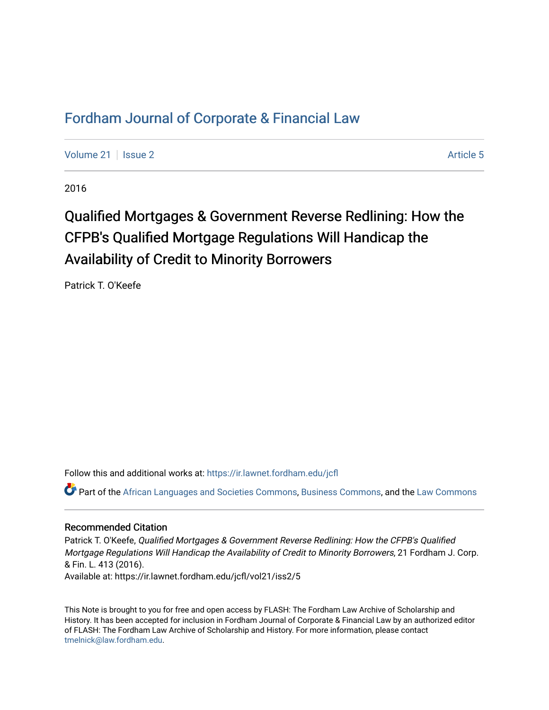# [Fordham Journal of Corporate & Financial Law](https://ir.lawnet.fordham.edu/jcfl)

[Volume 21](https://ir.lawnet.fordham.edu/jcfl/vol21) | [Issue 2](https://ir.lawnet.fordham.edu/jcfl/vol21/iss2) Article 5

2016

# Qualified Mortgages & Government Reverse Redlining: How the CFPB's Qualified Mortgage Regulations Will Handicap the Availability of Credit to Minority Borrowers

Patrick T. O'Keefe

Follow this and additional works at: [https://ir.lawnet.fordham.edu/jcfl](https://ir.lawnet.fordham.edu/jcfl?utm_source=ir.lawnet.fordham.edu%2Fjcfl%2Fvol21%2Fiss2%2F5&utm_medium=PDF&utm_campaign=PDFCoverPages) 

Part of the [African Languages and Societies Commons,](http://network.bepress.com/hgg/discipline/476?utm_source=ir.lawnet.fordham.edu%2Fjcfl%2Fvol21%2Fiss2%2F5&utm_medium=PDF&utm_campaign=PDFCoverPages) [Business Commons](http://network.bepress.com/hgg/discipline/622?utm_source=ir.lawnet.fordham.edu%2Fjcfl%2Fvol21%2Fiss2%2F5&utm_medium=PDF&utm_campaign=PDFCoverPages), and the [Law Commons](http://network.bepress.com/hgg/discipline/578?utm_source=ir.lawnet.fordham.edu%2Fjcfl%2Fvol21%2Fiss2%2F5&utm_medium=PDF&utm_campaign=PDFCoverPages) 

## Recommended Citation

Patrick T. O'Keefe, Qualified Mortgages & Government Reverse Redlining: How the CFPB's Qualified Mortgage Regulations Will Handicap the Availability of Credit to Minority Borrowers, 21 Fordham J. Corp. & Fin. L. 413 (2016). Available at: https://ir.lawnet.fordham.edu/jcfl/vol21/iss2/5

This Note is brought to you for free and open access by FLASH: The Fordham Law Archive of Scholarship and History. It has been accepted for inclusion in Fordham Journal of Corporate & Financial Law by an authorized editor of FLASH: The Fordham Law Archive of Scholarship and History. For more information, please contact [tmelnick@law.fordham.edu](mailto:tmelnick@law.fordham.edu).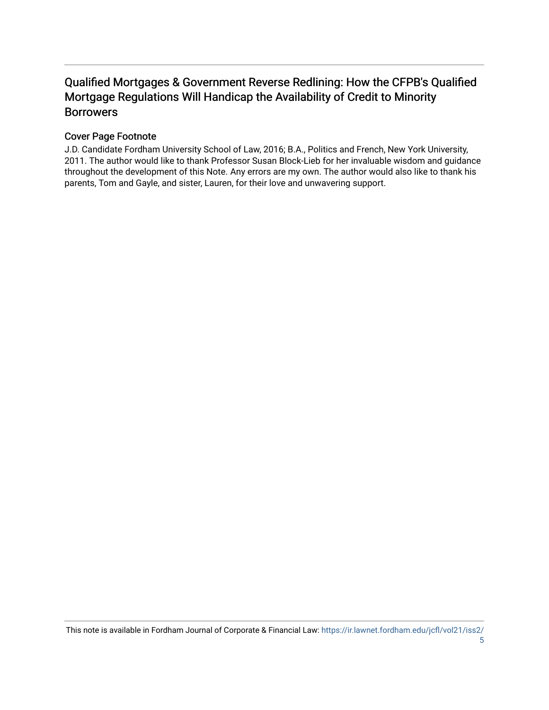# Qualified Mortgages & Government Reverse Redlining: How the CFPB's Qualified Mortgage Regulations Will Handicap the Availability of Credit to Minority Borrowers

# Cover Page Footnote

J.D. Candidate Fordham University School of Law, 2016; B.A., Politics and French, New York University, 2011. The author would like to thank Professor Susan Block-Lieb for her invaluable wisdom and guidance throughout the development of this Note. Any errors are my own. The author would also like to thank his parents, Tom and Gayle, and sister, Lauren, for their love and unwavering support.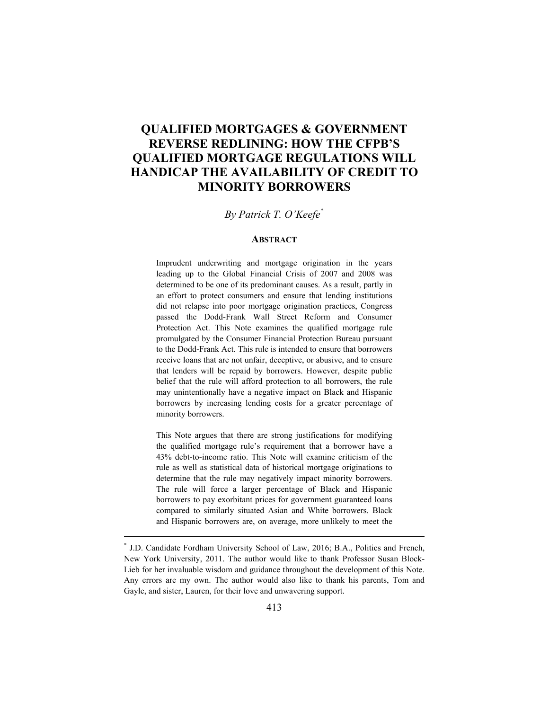# **QUALIFIED MORTGAGES & GOVERNMENT REVERSE REDLINING: HOW THE CFPB'S QUALIFIED MORTGAGE REGULATIONS WILL HANDICAP THE AVAILABILITY OF CREDIT TO MINORITY BORROWERS**

# *By Patrick T. O'Keefe*\*

#### **ABSTRACT**

Imprudent underwriting and mortgage origination in the years leading up to the Global Financial Crisis of 2007 and 2008 was determined to be one of its predominant causes. As a result, partly in an effort to protect consumers and ensure that lending institutions did not relapse into poor mortgage origination practices, Congress passed the Dodd-Frank Wall Street Reform and Consumer Protection Act. This Note examines the qualified mortgage rule promulgated by the Consumer Financial Protection Bureau pursuant to the Dodd-Frank Act. This rule is intended to ensure that borrowers receive loans that are not unfair, deceptive, or abusive, and to ensure that lenders will be repaid by borrowers. However, despite public belief that the rule will afford protection to all borrowers, the rule may unintentionally have a negative impact on Black and Hispanic borrowers by increasing lending costs for a greater percentage of minority borrowers.

This Note argues that there are strong justifications for modifying the qualified mortgage rule's requirement that a borrower have a 43% debt-to-income ratio. This Note will examine criticism of the rule as well as statistical data of historical mortgage originations to determine that the rule may negatively impact minority borrowers. The rule will force a larger percentage of Black and Hispanic borrowers to pay exorbitant prices for government guaranteed loans compared to similarly situated Asian and White borrowers. Black and Hispanic borrowers are, on average, more unlikely to meet the

<sup>\*</sup> J.D. Candidate Fordham University School of Law, 2016; B.A., Politics and French, New York University, 2011. The author would like to thank Professor Susan Block-Lieb for her invaluable wisdom and guidance throughout the development of this Note. Any errors are my own. The author would also like to thank his parents, Tom and Gayle, and sister, Lauren, for their love and unwavering support.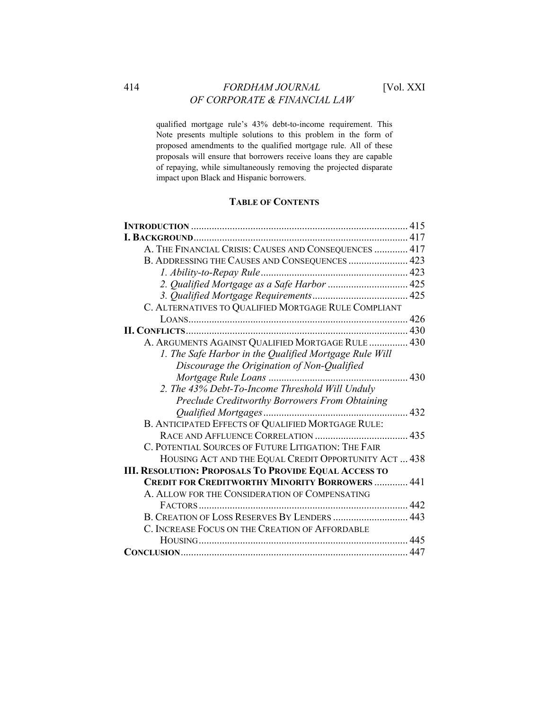# 414 *FORDHAM JOURNAL* [Vol. XXI *OF CORPORATE & FINANCIAL LAW*

qualified mortgage rule's 43% debt-to-income requirement. This Note presents multiple solutions to this problem in the form of proposed amendments to the qualified mortgage rule. All of these proposals will ensure that borrowers receive loans they are capable of repaying, while simultaneously removing the projected disparate impact upon Black and Hispanic borrowers.

# **TABLE OF CONTENTS**

|                                                              | 415 |
|--------------------------------------------------------------|-----|
|                                                              |     |
| A. THE FINANCIAL CRISIS: CAUSES AND CONSEQUENCES  417        |     |
| B. ADDRESSING THE CAUSES AND CONSEQUENCES  423               |     |
|                                                              |     |
| 2. Qualified Mortgage as a Safe Harbor  425                  |     |
|                                                              |     |
| C. ALTERNATIVES TO QUALIFIED MORTGAGE RULE COMPLIANT         |     |
|                                                              |     |
|                                                              |     |
| A. ARGUMENTS AGAINST QUALIFIED MORTGAGE RULE  430            |     |
| 1. The Safe Harbor in the Qualified Mortgage Rule Will       |     |
| Discourage the Origination of Non-Qualified                  |     |
|                                                              |     |
| 2. The 43% Debt-To-Income Threshold Will Unduly              |     |
| <b>Preclude Creditworthy Borrowers From Obtaining</b>        |     |
|                                                              |     |
| B. ANTICIPATED EFFECTS OF QUALIFIED MORTGAGE RULE:           |     |
|                                                              |     |
| C. POTENTIAL SOURCES OF FUTURE LITIGATION: THE FAIR          |     |
| HOUSING ACT AND THE EQUAL CREDIT OPPORTUNITY ACT  438        |     |
| <b>III. RESOLUTION: PROPOSALS TO PROVIDE EQUAL ACCESS TO</b> |     |
| <b>CREDIT FOR CREDITWORTHY MINORITY BORROWERS  441</b>       |     |
| A. ALLOW FOR THE CONSIDERATION OF COMPENSATING               |     |
|                                                              |     |
| B. CREATION OF LOSS RESERVES BY LENDERS  443                 |     |
| C. INCREASE FOCUS ON THE CREATION OF AFFORDABLE              |     |
|                                                              |     |
|                                                              |     |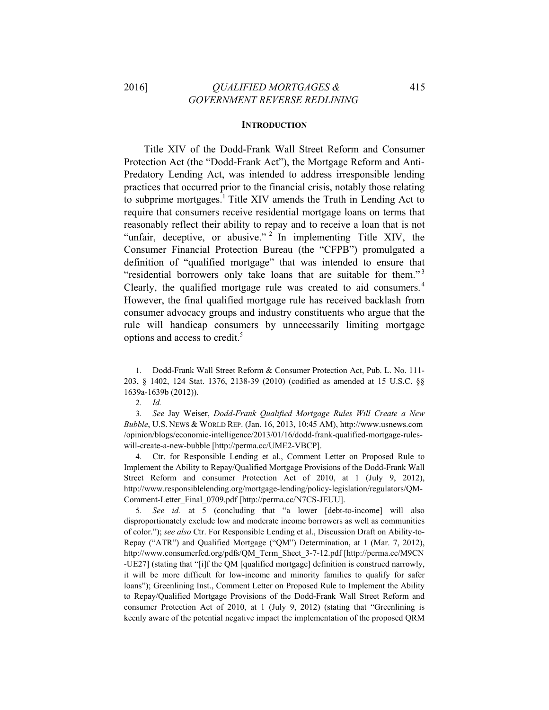# 2016] *QUALIFIED MORTGAGES &* 415  *GOVERNMENT REVERSE REDLINING*

#### **INTRODUCTION**

Title XIV of the Dodd-Frank Wall Street Reform and Consumer Protection Act (the "Dodd-Frank Act"), the Mortgage Reform and Anti-Predatory Lending Act, was intended to address irresponsible lending practices that occurred prior to the financial crisis, notably those relating to subprime mortgages.<sup>1</sup> Title XIV amends the Truth in Lending Act to require that consumers receive residential mortgage loans on terms that reasonably reflect their ability to repay and to receive a loan that is not "unfair, deceptive, or abusive." <sup>2</sup> In implementing Title XIV, the Consumer Financial Protection Bureau (the "CFPB") promulgated a definition of "qualified mortgage" that was intended to ensure that "residential borrowers only take loans that are suitable for them."<sup>3</sup> Clearly, the qualified mortgage rule was created to aid consumers. <sup>4</sup> However, the final qualified mortgage rule has received backlash from consumer advocacy groups and industry constituents who argue that the rule will handicap consumers by unnecessarily limiting mortgage options and access to credit.<sup>5</sup>

 

4. Ctr. for Responsible Lending et al., Comment Letter on Proposed Rule to Implement the Ability to Repay/Qualified Mortgage Provisions of the Dodd-Frank Wall Street Reform and consumer Protection Act of 2010, at 1 (July 9, 2012), http://www.responsiblelending.org/mortgage-lending/policy-legislation/regulators/QM-Comment-Letter\_Final\_0709.pdf [http://perma.cc/N7CS-JEUU].

5*. See id.* at 5 (concluding that "a lower [debt-to-income] will also disproportionately exclude low and moderate income borrowers as well as communities of color."); *see also* Ctr. For Responsible Lending et al., Discussion Draft on Ability-to-Repay ("ATR") and Qualified Mortgage ("QM") Determination, at 1 (Mar. 7, 2012), http://www.consumerfed.org/pdfs/QM\_Term\_Sheet\_3-7-12.pdf [http://perma.cc/M9CN -UE27] (stating that "[i]f the QM [qualified mortgage] definition is construed narrowly, it will be more difficult for low-income and minority families to qualify for safer loans"); Greenlining Inst., Comment Letter on Proposed Rule to Implement the Ability to Repay/Qualified Mortgage Provisions of the Dodd-Frank Wall Street Reform and consumer Protection Act of 2010, at 1 (July 9, 2012) (stating that "Greenlining is keenly aware of the potential negative impact the implementation of the proposed QRM

<sup>1.</sup> Dodd-Frank Wall Street Reform & Consumer Protection Act, Pub. L. No. 111- 203, § 1402, 124 Stat. 1376, 2138-39 (2010) (codified as amended at 15 U.S.C. §§ 1639a-1639b (2012)).

<sup>2</sup>*. Id.*

<sup>3</sup>*. See* Jay Weiser, *Dodd-Frank Qualified Mortgage Rules Will Create a New Bubble*, U.S. NEWS & WORLD REP. (Jan. 16, 2013, 10:45 AM), http://www.usnews.com /opinion/blogs/economic-intelligence/2013/01/16/dodd-frank-qualified-mortgage-ruleswill-create-a-new-bubble [http://perma.cc/UME2-VBCP].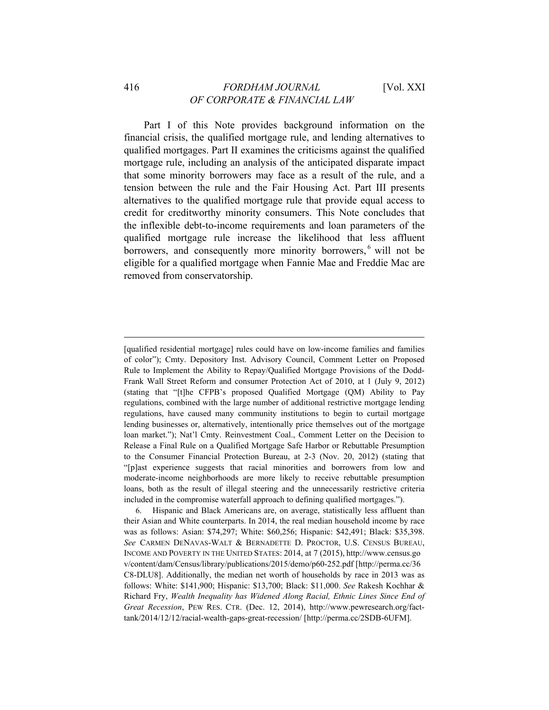# 416 *FORDHAM JOURNAL* [Vol. XXI *OF CORPORATE & FINANCIAL LAW*

Part I of this Note provides background information on the financial crisis, the qualified mortgage rule, and lending alternatives to qualified mortgages. Part II examines the criticisms against the qualified mortgage rule, including an analysis of the anticipated disparate impact that some minority borrowers may face as a result of the rule, and a tension between the rule and the Fair Housing Act. Part III presents alternatives to the qualified mortgage rule that provide equal access to credit for creditworthy minority consumers. This Note concludes that the inflexible debt-to-income requirements and loan parameters of the qualified mortgage rule increase the likelihood that less affluent borrowers, and consequently more minority borrowers, <sup>6</sup> will not be eligible for a qualified mortgage when Fannie Mae and Freddie Mac are removed from conservatorship.

<sup>[</sup>qualified residential mortgage] rules could have on low-income families and families of color"); Cmty. Depository Inst. Advisory Council, Comment Letter on Proposed Rule to Implement the Ability to Repay/Qualified Mortgage Provisions of the Dodd-Frank Wall Street Reform and consumer Protection Act of 2010, at 1 (July 9, 2012) (stating that "[t]he CFPB's proposed Qualified Mortgage (QM) Ability to Pay regulations, combined with the large number of additional restrictive mortgage lending regulations, have caused many community institutions to begin to curtail mortgage lending businesses or, alternatively, intentionally price themselves out of the mortgage loan market."); Nat'l Cmty. Reinvestment Coal., Comment Letter on the Decision to Release a Final Rule on a Qualified Mortgage Safe Harbor or Rebuttable Presumption to the Consumer Financial Protection Bureau, at 2-3 (Nov. 20, 2012) (stating that "[p]ast experience suggests that racial minorities and borrowers from low and moderate-income neighborhoods are more likely to receive rebuttable presumption loans, both as the result of illegal steering and the unnecessarily restrictive criteria included in the compromise waterfall approach to defining qualified mortgages.").

<sup>6.</sup> Hispanic and Black Americans are, on average, statistically less affluent than their Asian and White counterparts. In 2014, the real median household income by race was as follows: Asian: \$74,297; White: \$60,256; Hispanic: \$42,491; Black: \$35,398. *See* CARMEN DENAVAS-WALT & BERNADETTE D. PROCTOR, U.S. CENSUS BUREAU, INCOME AND POVERTY IN THE UNITED STATES: 2014, at 7 (2015), http://www.census.go v/content/dam/Census/library/publications/2015/demo/p60-252.pdf [http://perma.cc/36 C8-DLU8]. Additionally, the median net worth of households by race in 2013 was as follows: White: \$141,900; Hispanic: \$13,700; Black: \$11,000. *See* Rakesh Kochhar & Richard Fry, *Wealth Inequality has Widened Along Racial, Ethnic Lines Since End of Great Recession*, PEW RES. CTR. (Dec. 12, 2014), http://www.pewresearch.org/facttank/2014/12/12/racial-wealth-gaps-great-recession/ [http://perma.cc/2SDB-6UFM].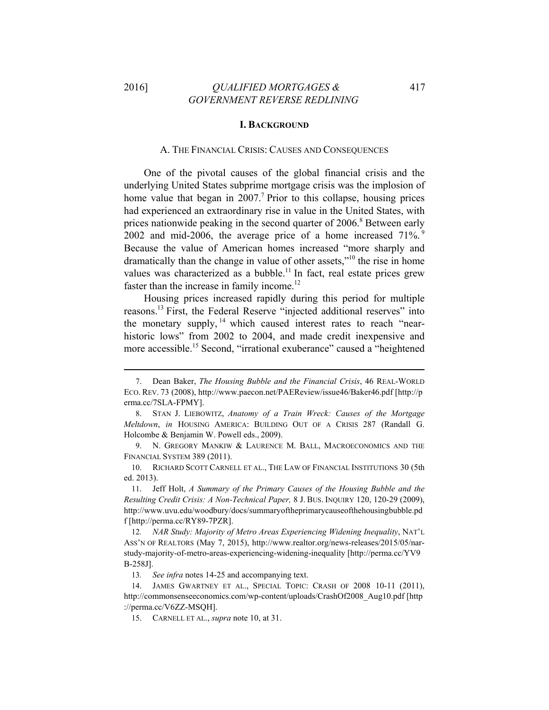# 2016] *QUALIFIED MORTGAGES &* 417  *GOVERNMENT REVERSE REDLINING*

#### **I. BACKGROUND**

#### A. THE FINANCIAL CRISIS: CAUSES AND CONSEQUENCES

One of the pivotal causes of the global financial crisis and the underlying United States subprime mortgage crisis was the implosion of home value that began in  $2007$ .<sup>7</sup> Prior to this collapse, housing prices had experienced an extraordinary rise in value in the United States, with prices nationwide peaking in the second quarter of 2006.<sup>8</sup> Between early 2002 and mid-2006, the average price of a home increased 71%. <sup>9</sup> Because the value of American homes increased "more sharply and dramatically than the change in value of other assets,"<sup>10</sup> the rise in home values was characterized as a bubble.<sup>11</sup> In fact, real estate prices grew faster than the increase in family income.<sup>12</sup>

Housing prices increased rapidly during this period for multiple reasons.13 First, the Federal Reserve "injected additional reserves" into the monetary supply,  $14$  which caused interest rates to reach "nearhistoric lows" from 2002 to 2004, and made credit inexpensive and more accessible.15 Second, "irrational exuberance" caused a "heightened

 

10. RICHARD SCOTT CARNELL ET AL., THE LAW OF FINANCIAL INSTITUTIONS 30 (5th ed. 2013).

11. Jeff Holt, *A Summary of the Primary Causes of the Housing Bubble and the Resulting Credit Crisis: A Non-Technical Paper,* 8 J. BUS. INQUIRY 120, 120-29 (2009), http://www.uvu.edu/woodbury/docs/summaryoftheprimarycauseofthehousingbubble.pd f [http://perma.cc/RY89-7PZR].

<sup>7.</sup> Dean Baker, *The Housing Bubble and the Financial Crisis*, 46 REAL-WORLD ECO. REV. 73 (2008), http://www.paecon.net/PAEReview/issue46/Baker46.pdf [http://p erma.cc/7SLA-FPMY].

<sup>8.</sup> STAN J. LIEBOWITZ, *Anatomy of a Train Wreck: Causes of the Mortgage Meltdown*, *in* HOUSING AMERICA: BUILDING OUT OF A CRISIS 287 (Randall G. Holcombe & Benjamin W. Powell eds., 2009).

<sup>9.</sup> N. GREGORY MANKIW & LAURENCE M. BALL, MACROECONOMICS AND THE FINANCIAL SYSTEM 389 (2011).

<sup>12</sup>*. NAR Study: Majority of Metro Areas Experiencing Widening Inequality*, NAT'L ASS'N OF REALTORS (May 7, 2015), http://www.realtor.org/news-releases/2015/05/narstudy-majority-of-metro-areas-experiencing-widening-inequality [http://perma.cc/YV9 B-258J].

<sup>13</sup>*. See infra* notes 14-25 and accompanying text.

<sup>14.</sup> JAMES GWARTNEY ET AL., SPECIAL TOPIC: CRASH OF 2008 10-11 (2011), http://commonsenseeconomics.com/wp-content/uploads/CrashOf2008\_Aug10.pdf [http ://perma.cc/V6ZZ-MSQH].

<sup>15.</sup> CARNELL ET AL., *supra* note 10, at 31.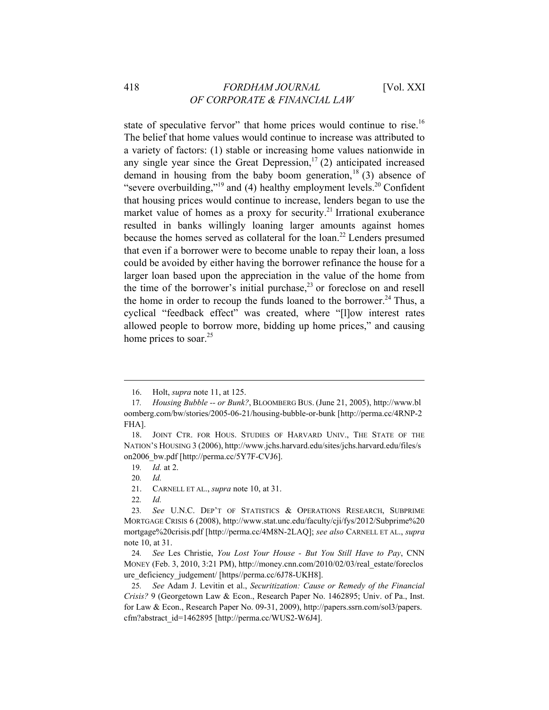state of speculative fervor" that home prices would continue to rise.<sup>16</sup> The belief that home values would continue to increase was attributed to a variety of factors: (1) stable or increasing home values nationwide in any single year since the Great Depression,<sup>17</sup> (2) anticipated increased demand in housing from the baby boom generation,  $18(3)$  absence of "severe overbuilding,"<sup>19</sup> and (4) healthy employment levels.<sup>20</sup> Confident that housing prices would continue to increase, lenders began to use the market value of homes as a proxy for security.<sup>21</sup> Irrational exuberance resulted in banks willingly loaning larger amounts against homes because the homes served as collateral for the  $\gamma$ <sup>22</sup> Lenders presumed that even if a borrower were to become unable to repay their loan, a loss could be avoided by either having the borrower refinance the house for a larger loan based upon the appreciation in the value of the home from the time of the borrower's initial purchase, $2<sup>3</sup>$  or foreclose on and resell the home in order to recoup the funds loaned to the borrower.<sup>24</sup> Thus, a cyclical "feedback effect" was created, where "[l]ow interest rates allowed people to borrow more, bidding up home prices," and causing home prices to soar. $25$ 

<sup>16.</sup> Holt, *supra* note 11, at 125.

<sup>17</sup>*. Housing Bubble -- or Bunk?*, BLOOMBERG BUS. (June 21, 2005), http://www.bl oomberg.com/bw/stories/2005-06-21/housing-bubble-or-bunk [http://perma.cc/4RNP-2 FHA].

<sup>18.</sup> JOINT CTR. FOR HOUS. STUDIES OF HARVARD UNIV., THE STATE OF THE NATION'S HOUSING 3 (2006), http://www.jchs.harvard.edu/sites/jchs.harvard.edu/files/s on2006\_bw.pdf [http://perma.cc/5Y7F-CVJ6].

<sup>19</sup>*. Id.* at 2.

<sup>20</sup>*. Id.*

<sup>21.</sup> CARNELL ET AL., *supra* note 10, at 31.

<sup>22</sup>*. Id.*

<sup>23</sup>*. See* U.N.C. DEP'T OF STATISTICS & OPERATIONS RESEARCH, SUBPRIME MORTGAGE CRISIS 6 (2008), http://www.stat.unc.edu/faculty/cji/fys/2012/Subprime%20 mortgage%20crisis.pdf [http://perma.cc/4M8N-2LAQ]; *see also* CARNELL ET AL., *supra* note 10, at 31.

<sup>24</sup>*. See* Les Christie, *You Lost Your House - But You Still Have to Pay*, CNN MONEY (Feb. 3, 2010, 3:21 PM), http://money.cnn.com/2010/02/03/real\_estate/foreclos ure\_deficiency\_judgement/ [https//perma.cc/6J78-UKH8].

<sup>25</sup>*. See* Adam J. Levitin et al., *Securitization: Cause or Remedy of the Financial Crisis?* 9 (Georgetown Law & Econ., Research Paper No. 1462895; Univ. of Pa., Inst. for Law & Econ., Research Paper No. 09-31, 2009), http://papers.ssrn.com/sol3/papers. cfm?abstract\_id=1462895 [http://perma.cc/WUS2-W6J4].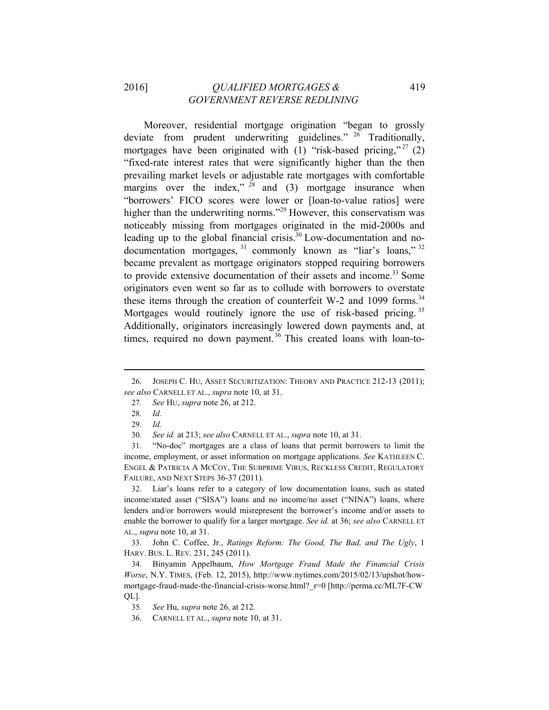# 2016] *QUALIFIED MORTGAGES &* 419  *GOVERNMENT REVERSE REDLINING*

Moreover, residential mortgage origination "began to grossly deviate from prudent underwriting guidelines." <sup>26</sup> Traditionally, mortgages have been originated with (1) "risk-based pricing,"  $^{27}$  (2) "fixed-rate interest rates that were significantly higher than the then prevailing market levels or adjustable rate mortgages with comfortable margins over the index,"  $28$  and (3) mortgage insurance when "borrowers' FICO scores were lower or [loan-to-value ratios] were higher than the underwriting norms."<sup>29</sup> However, this conservatism was noticeably missing from mortgages originated in the mid-2000s and leading up to the global financial crisis.<sup>30</sup> Low-documentation and nodocumentation mortgages, <sup>31</sup> commonly known as "liar's loans," <sup>32</sup> became prevalent as mortgage originators stopped requiring borrowers to provide extensive documentation of their assets and income.<sup>33</sup> Some originators even went so far as to collude with borrowers to overstate these items through the creation of counterfeit W-2 and 1099 forms.<sup>34</sup> Mortgages would routinely ignore the use of risk-based pricing.<sup>35</sup> Additionally, originators increasingly lowered down payments and, at times, required no down payment.<sup>36</sup> This created loans with loan-to-

30*. See id.* at 213; *see also* CARNELL ET AL., *supra* note 10, at 31.

31. "No-doc" mortgages are a class of loans that permit borrowers to limit the income, employment, or asset information on mortgage applications. *See* KATHLEEN C. ENGEL & PATRICIA A MCCOY, THE SUBPRIME VIRUS, RECKLESS CREDIT, REGULATORY FAILURE, AND NEXT STEPS 36-37 (2011).

32. Liar's loans refer to a category of low documentation loans, such as stated income/stated asset ("SISA") loans and no income/no asset ("NINA") loans, where lenders and/or borrowers would misrepresent the borrower's income and/or assets to enable the borrower to qualify for a larger mortgage. *See id.* at 36; *see also* CARNELL ET AL., *supra* note 10, at 31.

33. John C. Coffee, Jr., *Ratings Reform: The Good, The Bad, and The Ugly*, 1 HARV. BUS. L. REV. 231, 245 (2011).

34. Binyamin Appelbaum, *How Mortgage Fraud Made the Financial Crisis Worse*, N.Y. TIMES, (Feb. 12, 2015), http://www.nytimes.com/2015/02/13/upshot/howmortgage-fraud-made-the-financial-crisis-worse.html?\_r=0 [http://perma.cc/ML7F-CW QL].

35*. See* Hu, *supra* note 26, at 212.

36. CARNELL ET AL., *supra* note 10, at 31.

 26. JOSEPH C. HU, ASSET SECURITIZATION: THEORY AND PRACTICE 212-13 (2011); *see also* CARNELL ET AL., *supra* note 10, at 31.

<sup>27</sup>*. See* HU, *supra* note 26, at 212.

<sup>28</sup>*. Id.*

<sup>29</sup>*. Id.*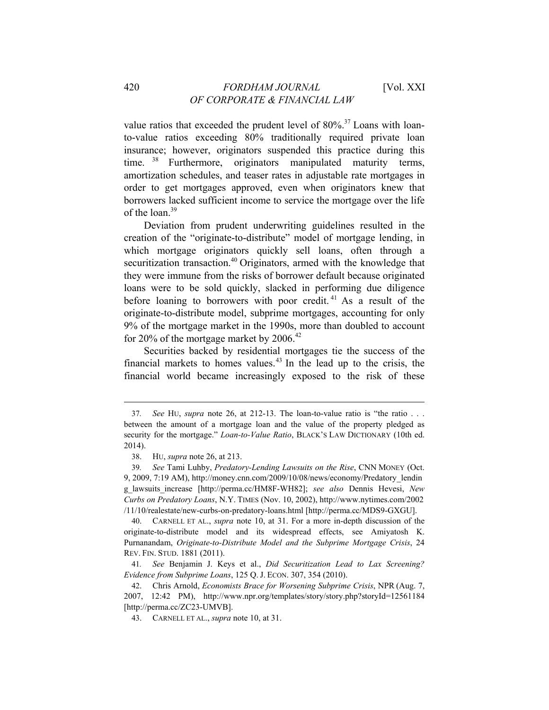value ratios that exceeded the prudent level of  $80\%$ <sup>37</sup> Loans with loanto-value ratios exceeding 80% traditionally required private loan insurance; however, originators suspended this practice during this time. <sup>38</sup> Furthermore, originators manipulated maturity terms, amortization schedules, and teaser rates in adjustable rate mortgages in order to get mortgages approved, even when originators knew that borrowers lacked sufficient income to service the mortgage over the life of the loan.<sup>39</sup>

Deviation from prudent underwriting guidelines resulted in the creation of the "originate-to-distribute" model of mortgage lending, in which mortgage originators quickly sell loans, often through a securitization transaction.<sup>40</sup> Originators, armed with the knowledge that they were immune from the risks of borrower default because originated loans were to be sold quickly, slacked in performing due diligence before loaning to borrowers with poor credit. 41 As a result of the originate-to-distribute model, subprime mortgages, accounting for only 9% of the mortgage market in the 1990s, more than doubled to account for 20% of the mortgage market by  $2006.<sup>42</sup>$ 

Securities backed by residential mortgages tie the success of the financial markets to homes values.<sup>43</sup> In the lead up to the crisis, the financial world became increasingly exposed to the risk of these

 

40. CARNELL ET AL., *supra* note 10, at 31. For a more in-depth discussion of the originate-to-distribute model and its widespread effects, see Amiyatosh K. Purnanandam, *Originate-to-Distribute Model and the Subprime Mortgage Crisis*, 24 REV. FIN. STUD. 1881 (2011).

41*. See* Benjamin J. Keys et al., *Did Securitization Lead to Lax Screening? Evidence from Subprime Loans*, 125 Q. J. ECON. 307, 354 (2010).

<sup>37</sup>*. See* HU, *supra* note 26, at 212-13. The loan-to-value ratio is "the ratio . . . between the amount of a mortgage loan and the value of the property pledged as security for the mortgage." *Loan-to-Value Ratio*, BLACK'S LAW DICTIONARY (10th ed. 2014).

<sup>38.</sup> HU, *supra* note 26, at 213.

<sup>39</sup>*. See* Tami Luhby, *Predatory-Lending Lawsuits on the Rise*, CNN MONEY (Oct. 9, 2009, 7:19 AM), http://money.cnn.com/2009/10/08/news/economy/Predatory\_lendin g\_lawsuits\_increase [http://perma.cc/HM8F-WH82]; *see also* Dennis Hevesi, *New Curbs on Predatory Loans*, N.Y. TIMES (Nov. 10, 2002), http://www.nytimes.com/2002 /11/10/realestate/new-curbs-on-predatory-loans.html [http://perma.cc/MDS9-GXGU].

<sup>42.</sup> Chris Arnold, *Economists Brace for Worsening Subprime Crisis*, NPR (Aug. 7, 2007, 12:42 PM), http://www.npr.org/templates/story/story.php?storyId=12561184 [http://perma.cc/ZC23-UMVB].

<sup>43.</sup> CARNELL ET AL., *supra* note 10, at 31.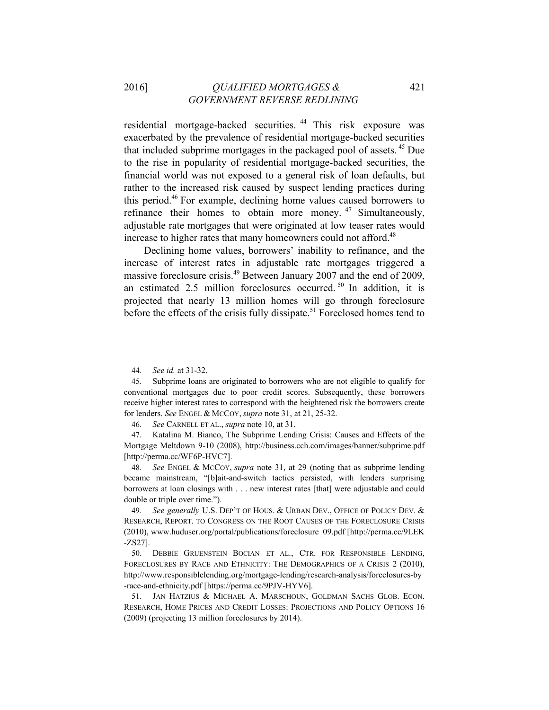# 2016] *QUALIFIED MORTGAGES &* 421  *GOVERNMENT REVERSE REDLINING*

residential mortgage-backed securities. 44 This risk exposure was exacerbated by the prevalence of residential mortgage-backed securities that included subprime mortgages in the packaged pool of assets. 45 Due to the rise in popularity of residential mortgage-backed securities, the financial world was not exposed to a general risk of loan defaults, but rather to the increased risk caused by suspect lending practices during this period.46 For example, declining home values caused borrowers to refinance their homes to obtain more money.<sup>47</sup> Simultaneously, adjustable rate mortgages that were originated at low teaser rates would increase to higher rates that many homeowners could not afford.<sup>48</sup>

Declining home values, borrowers' inability to refinance, and the increase of interest rates in adjustable rate mortgages triggered a massive foreclosure crisis.<sup>49</sup> Between January 2007 and the end of 2009, an estimated 2.5 million foreclosures occurred. 50 In addition, it is projected that nearly 13 million homes will go through foreclosure before the effects of the crisis fully dissipate.<sup>51</sup> Foreclosed homes tend to

<sup>44</sup>*. See id.* at 31-32.

<sup>45.</sup> Subprime loans are originated to borrowers who are not eligible to qualify for conventional mortgages due to poor credit scores. Subsequently, these borrowers receive higher interest rates to correspond with the heightened risk the borrowers create for lenders. *See* ENGEL & MCCOY, *supra* note 31, at 21, 25-32.

<sup>46</sup>*. See* CARNELL ET AL., *supra* note 10, at 31.

<sup>47.</sup> Katalina M. Bianco, The Subprime Lending Crisis: Causes and Effects of the Mortgage Meltdown 9-10 (2008), http://business.cch.com/images/banner/subprime.pdf [http://perma.cc/WF6P-HVC7].

<sup>48</sup>*. See* ENGEL & MCCOY, *supra* note 31, at 29 (noting that as subprime lending became mainstream, "[b]ait-and-switch tactics persisted, with lenders surprising borrowers at loan closings with . . . new interest rates [that] were adjustable and could double or triple over time.").

<sup>49</sup>*. See generally* U.S. DEP'T OF HOUS. & URBAN DEV., OFFICE OF POLICY DEV. & RESEARCH, REPORT. TO CONGRESS ON THE ROOT CAUSES OF THE FORECLOSURE CRISIS (2010), www.huduser.org/portal/publications/foreclosure\_09.pdf [http://perma.cc/9LEK -ZS27].

<sup>50.</sup> DEBBIE GRUENSTEIN BOCIAN ET AL., CTR. FOR RESPONSIBLE LENDING, FORECLOSURES BY RACE AND ETHNICITY: THE DEMOGRAPHICS OF A CRISIS 2 (2010), http://www.responsiblelending.org/mortgage-lending/research-analysis/foreclosures-by -race-and-ethnicity.pdf [https://perma.cc/9PJV-HYV6].

<sup>51.</sup> JAN HATZIUS & MICHAEL A. MARSCHOUN, GOLDMAN SACHS GLOB. ECON. RESEARCH, HOME PRICES AND CREDIT LOSSES: PROJECTIONS AND POLICY OPTIONS 16 (2009) (projecting 13 million foreclosures by 2014).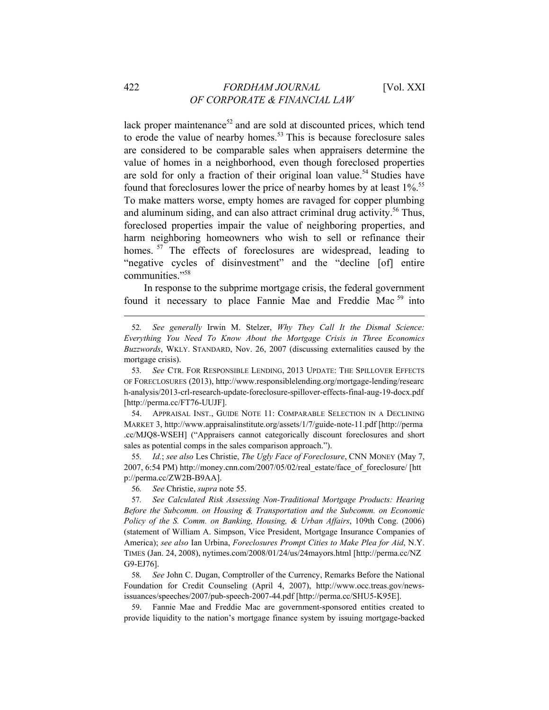lack proper maintenance<sup>52</sup> and are sold at discounted prices, which tend to erode the value of nearby homes.<sup>53</sup> This is because foreclosure sales are considered to be comparable sales when appraisers determine the value of homes in a neighborhood, even though foreclosed properties are sold for only a fraction of their original loan value.<sup>54</sup> Studies have found that foreclosures lower the price of nearby homes by at least 1%.<sup>55</sup> To make matters worse, empty homes are ravaged for copper plumbing and aluminum siding, and can also attract criminal drug activity.<sup>56</sup> Thus, foreclosed properties impair the value of neighboring properties, and harm neighboring homeowners who wish to sell or refinance their homes. <sup>57</sup> The effects of foreclosures are widespread, leading to "negative cycles of disinvestment" and the "decline [of] entire communities."58

In response to the subprime mortgage crisis, the federal government found it necessary to place Fannie Mae and Freddie Mac<sup>59</sup> into

 

54. APPRAISAL INST., GUIDE NOTE 11: COMPARABLE SELECTION IN A DECLINING MARKET 3, http://www.appraisalinstitute.org/assets/1/7/guide-note-11.pdf [http://perma .cc/MJQ8-WSEH] ("Appraisers cannot categorically discount foreclosures and short sales as potential comps in the sales comparison approach.").

55*. Id.*; *see also* Les Christie, *The Ugly Face of Foreclosure*, CNN MONEY (May 7, 2007, 6:54 PM) http://money.cnn.com/2007/05/02/real\_estate/face\_of\_foreclosure/ [htt p://perma.cc/ZW2B-B9AA].

56*. See* Christie, *supra* note 55.

57*. See Calculated Risk Assessing Non-Traditional Mortgage Products: Hearing Before the Subcomm. on Housing & Transportation and the Subcomm. on Economic Policy of the S. Comm. on Banking, Housing, & Urban Affairs*, 109th Cong. (2006) (statement of William A. Simpson, Vice President, Mortgage Insurance Companies of America); *see also* Ian Urbina, *Foreclosures Prompt Cities to Make Plea for Aid*, N.Y. TIMES (Jan. 24, 2008), nytimes.com/2008/01/24/us/24mayors.html [http://perma.cc/NZ G9-EJ76].

58*. See* John C. Dugan, Comptroller of the Currency, Remarks Before the National Foundation for Credit Counseling (April 4, 2007), http://www.occ.treas.gov/newsissuances/speeches/2007/pub-speech-2007-44.pdf [http://perma.cc/SHU5-K95E].

59. Fannie Mae and Freddie Mac are government-sponsored entities created to provide liquidity to the nation's mortgage finance system by issuing mortgage-backed

<sup>52</sup>*. See generally* Irwin M. Stelzer, *Why They Call It the Dismal Science: Everything You Need To Know About the Mortgage Crisis in Three Economics Buzzwords*, WKLY. STANDARD, Nov. 26, 2007 (discussing externalities caused by the mortgage crisis).

<sup>53</sup>*. See* CTR. FOR RESPONSIBLE LENDING, 2013 UPDATE: THE SPILLOVER EFFECTS OF FORECLOSURES (2013), http://www.responsiblelending.org/mortgage-lending/researc h-analysis/2013-crl-research-update-foreclosure-spillover-effects-final-aug-19-docx.pdf [http://perma.cc/FT76-UUJF].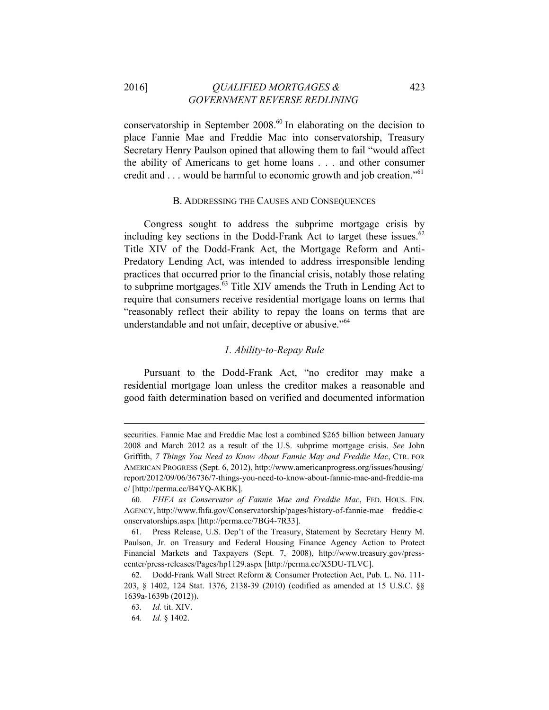# 2016] *QUALIFIED MORTGAGES &* 423  *GOVERNMENT REVERSE REDLINING*

conservatorship in September  $2008<sup>60</sup>$  In elaborating on the decision to place Fannie Mae and Freddie Mac into conservatorship, Treasury Secretary Henry Paulson opined that allowing them to fail "would affect the ability of Americans to get home loans . . . and other consumer credit and . . . would be harmful to economic growth and job creation."<sup>61</sup>

#### B. ADDRESSING THE CAUSES AND CONSEQUENCES

Congress sought to address the subprime mortgage crisis by including key sections in the Dodd-Frank Act to target these issues. $62$ Title XIV of the Dodd-Frank Act, the Mortgage Reform and Anti-Predatory Lending Act, was intended to address irresponsible lending practices that occurred prior to the financial crisis, notably those relating to subprime mortgages.63 Title XIV amends the Truth in Lending Act to require that consumers receive residential mortgage loans on terms that "reasonably reflect their ability to repay the loans on terms that are understandable and not unfair, deceptive or abusive."<sup>64</sup>

#### *1. Ability-to-Repay Rule*

Pursuant to the Dodd-Frank Act, "no creditor may make a residential mortgage loan unless the creditor makes a reasonable and good faith determination based on verified and documented information

securities. Fannie Mae and Freddie Mac lost a combined \$265 billion between January 2008 and March 2012 as a result of the U.S. subprime mortgage crisis. *See* John Griffith, *7 Things You Need to Know About Fannie May and Freddie Mac*, CTR. FOR AMERICAN PROGRESS (Sept. 6, 2012), http://www.americanprogress.org/issues/housing/ report/2012/09/06/36736/7-things-you-need-to-know-about-fannie-mae-and-freddie-ma c/ [http://perma.cc/B4YQ-AKBK].

<sup>60</sup>*. FHFA as Conservator of Fannie Mae and Freddie Mac*, FED. HOUS. FIN. AGENCY, http://www.fhfa.gov/Conservatorship/pages/history-of-fannie-mae—freddie-c onservatorships.aspx [http://perma.cc/7BG4-7R33].

<sup>61.</sup> Press Release, U.S. Dep't of the Treasury, Statement by Secretary Henry M. Paulson, Jr. on Treasury and Federal Housing Finance Agency Action to Protect Financial Markets and Taxpayers (Sept. 7, 2008), http://www.treasury.gov/presscenter/press-releases/Pages/hp1129.aspx [http://perma.cc/X5DU-TLVC].

<sup>62.</sup> Dodd-Frank Wall Street Reform & Consumer Protection Act, Pub. L. No. 111- 203, § 1402, 124 Stat. 1376, 2138-39 (2010) (codified as amended at 15 U.S.C. §§ 1639a-1639b (2012)).

<sup>63</sup>*. Id.* tit. XIV.

<sup>64</sup>*. Id.* § 1402.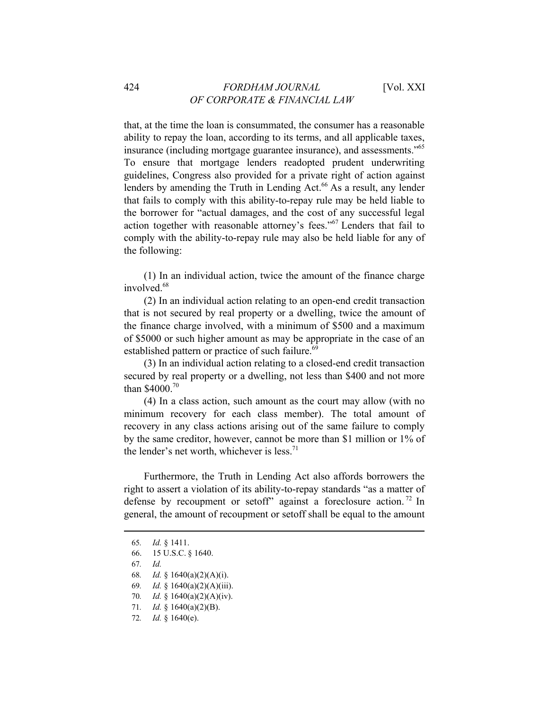that, at the time the loan is consummated, the consumer has a reasonable ability to repay the loan, according to its terms, and all applicable taxes, insurance (including mortgage guarantee insurance), and assessments."65 To ensure that mortgage lenders readopted prudent underwriting guidelines, Congress also provided for a private right of action against lenders by amending the Truth in Lending Act.<sup>66</sup> As a result, any lender that fails to comply with this ability-to-repay rule may be held liable to the borrower for "actual damages, and the cost of any successful legal action together with reasonable attorney's fees."<sup>67</sup> Lenders that fail to comply with the ability-to-repay rule may also be held liable for any of the following:

(1) In an individual action, twice the amount of the finance charge involved.<sup>68</sup>

(2) In an individual action relating to an open-end credit transaction that is not secured by real property or a dwelling, twice the amount of the finance charge involved, with a minimum of \$500 and a maximum of \$5000 or such higher amount as may be appropriate in the case of an established pattern or practice of such failure.<sup>69</sup>

(3) In an individual action relating to a closed-end credit transaction secured by real property or a dwelling, not less than \$400 and not more than \$4000.<sup>70</sup>

(4) In a class action, such amount as the court may allow (with no minimum recovery for each class member). The total amount of recovery in any class actions arising out of the same failure to comply by the same creditor, however, cannot be more than \$1 million or 1% of the lender's net worth, whichever is less.<sup>71</sup>

Furthermore, the Truth in Lending Act also affords borrowers the right to assert a violation of its ability-to-repay standards "as a matter of defense by recoupment or setoff" against a foreclosure action.<sup>72</sup> In general, the amount of recoupment or setoff shall be equal to the amount

- 67*. Id.*
- 68*. Id.* § 1640(a)(2)(A)(i).
- 69*. Id.* § 1640(a)(2)(A)(iii).
- 70*. Id.* § 1640(a)(2)(A)(iv).
- 71*. Id.* § 1640(a)(2)(B).
- 72*. Id.* § 1640(e).

<sup>65</sup>*. Id.* § 1411.

<sup>66. 15</sup> U.S.C. § 1640.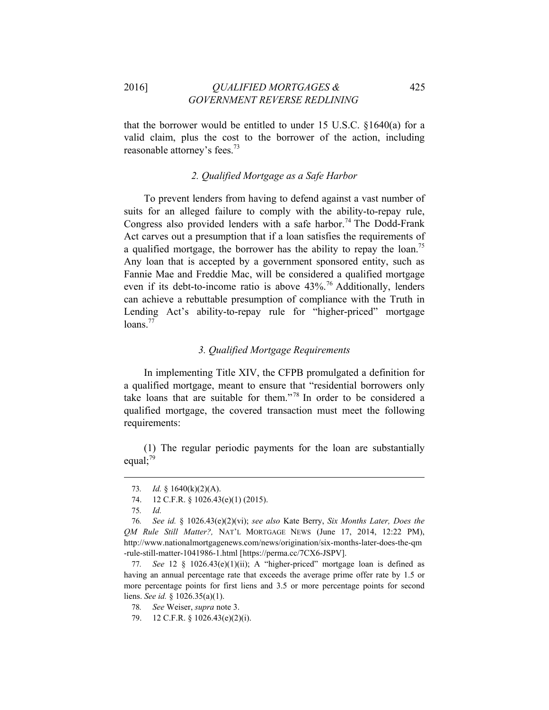2016] *QUALIFIED MORTGAGES &* 425  *GOVERNMENT REVERSE REDLINING*

that the borrower would be entitled to under 15 U.S.C. §1640(a) for a valid claim, plus the cost to the borrower of the action, including reasonable attorney's fees.<sup>73</sup>

# *2. Qualified Mortgage as a Safe Harbor*

To prevent lenders from having to defend against a vast number of suits for an alleged failure to comply with the ability-to-repay rule, Congress also provided lenders with a safe harbor.<sup>74</sup> The Dodd-Frank Act carves out a presumption that if a loan satisfies the requirements of a qualified mortgage, the borrower has the ability to repay the loan.<sup>75</sup> Any loan that is accepted by a government sponsored entity, such as Fannie Mae and Freddie Mac, will be considered a qualified mortgage even if its debt-to-income ratio is above 43%.<sup>76</sup> Additionally, lenders can achieve a rebuttable presumption of compliance with the Truth in Lending Act's ability-to-repay rule for "higher-priced" mortgage  $loans.<sup>77</sup>$ 

# *3. Qualified Mortgage Requirements*

In implementing Title XIV, the CFPB promulgated a definition for a qualified mortgage, meant to ensure that "residential borrowers only take loans that are suitable for them." 78 In order to be considered a qualified mortgage, the covered transaction must meet the following requirements:

(1) The regular periodic payments for the loan are substantially equal; $^{79}$ 

<sup>73</sup>*. Id.* § 1640(k)(2)(A).

<sup>74. 12</sup> C.F.R. § 1026.43(e)(1) (2015).

<sup>75</sup>*. Id.*

<sup>76</sup>*. See id.* § 1026.43(e)(2)(vi); *see also* Kate Berry, *Six Months Later, Does the QM Rule Still Matter?,* NAT'L MORTGAGE NEWS (June 17, 2014, 12:22 PM), http://www.nationalmortgagenews.com/news/origination/six-months-later-does-the-qm -rule-still-matter-1041986-1.html [https://perma.cc/7CX6-JSPV].

<sup>77</sup>*. See* 12 § 1026.43(e)(1)(ii); A "higher-priced" mortgage loan is defined as having an annual percentage rate that exceeds the average prime offer rate by 1.5 or more percentage points for first liens and 3.5 or more percentage points for second liens. *See id.* § 1026.35(a)(1).

<sup>78</sup>*. See* Weiser, *supra* note 3.

<sup>79. 12</sup> C.F.R. § 1026.43(e)(2)(i).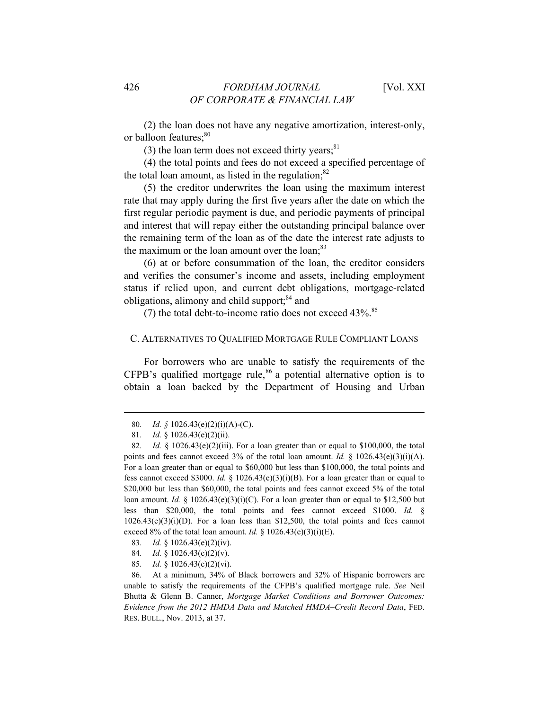(2) the loan does not have any negative amortization, interest-only, or balloon features;<sup>80</sup>

(3) the loan term does not exceed thirty years; $81$ 

(4) the total points and fees do not exceed a specified percentage of the total loan amount, as listed in the regulation; $82$ 

(5) the creditor underwrites the loan using the maximum interest rate that may apply during the first five years after the date on which the first regular periodic payment is due, and periodic payments of principal and interest that will repay either the outstanding principal balance over the remaining term of the loan as of the date the interest rate adjusts to the maximum or the loan amount over the loan;<sup>83</sup>

(6) at or before consummation of the loan, the creditor considers and verifies the consumer's income and assets, including employment status if relied upon, and current debt obligations, mortgage-related obligations, alimony and child support;<sup>84</sup> and

(7) the total debt-to-income ratio does not exceed  $43\%$ .<sup>85</sup>

#### C. ALTERNATIVES TO QUALIFIED MORTGAGE RULE COMPLIANT LOANS

For borrowers who are unable to satisfy the requirements of the  $CFPB's$  qualified mortgage rule,<sup>86</sup> a potential alternative option is to obtain a loan backed by the Department of Housing and Urban

 

- 83*. Id.* § 1026.43(e)(2)(iv).
- 84*. Id.* § 1026.43(e)(2)(v).
- 85*. Id.* § 1026.43(e)(2)(vi).

86. At a minimum, 34% of Black borrowers and 32% of Hispanic borrowers are unable to satisfy the requirements of the CFPB's qualified mortgage rule. *See* Neil Bhutta & Glenn B. Canner, *Mortgage Market Conditions and Borrower Outcomes: Evidence from the 2012 HMDA Data and Matched HMDA–Credit Record Data*, FED. RES. BULL., Nov. 2013, at 37.

<sup>80</sup>*. Id. §* 1026.43(e)(2)(i)(A)-(C).

<sup>81</sup>*. Id.* § 1026.43(e)(2)(ii).

<sup>82</sup>*. Id.* § 1026.43(e)(2)(iii). For a loan greater than or equal to \$100,000, the total points and fees cannot exceed 3% of the total loan amount. *Id.* § 1026.43(e)(3)(i)(A). For a loan greater than or equal to \$60,000 but less than \$100,000, the total points and fess cannot exceed \$3000. *Id.* § 1026.43(e)(3)(i)(B). For a loan greater than or equal to \$20,000 but less than \$60,000, the total points and fees cannot exceed 5% of the total loan amount. *Id.*  $\frac{8}{3}$  1026.43(e)(3)(i)(C). For a loan greater than or equal to \$12,500 but less than \$20,000, the total points and fees cannot exceed \$1000. *Id.* §  $1026.43(e)(3)(i)$  For a loan less than \$12,500, the total points and fees cannot exceed 8% of the total loan amount. *Id.* § 1026.43(e)(3)(i)(E).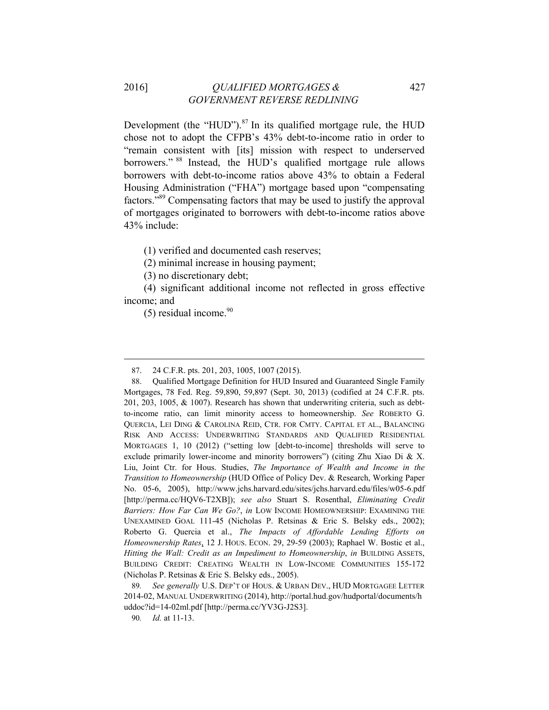# 2016] *QUALIFIED MORTGAGES &* 427  *GOVERNMENT REVERSE REDLINING*

Development (the "HUD"). $87$  In its qualified mortgage rule, the HUD chose not to adopt the CFPB's 43% debt-to-income ratio in order to "remain consistent with [its] mission with respect to underserved borrowers." <sup>88</sup> Instead, the HUD's qualified mortgage rule allows borrowers with debt-to-income ratios above 43% to obtain a Federal Housing Administration ("FHA") mortgage based upon "compensating factors."89 Compensating factors that may be used to justify the approval of mortgages originated to borrowers with debt-to-income ratios above 43% include:

(1) verified and documented cash reserves;

(2) minimal increase in housing payment;

(3) no discretionary debt;

(4) significant additional income not reflected in gross effective income; and

 

 $(5)$  residual income.<sup>90</sup>

<sup>87. 24</sup> C.F.R. pts. 201, 203, 1005, 1007 (2015).

<sup>88.</sup> Qualified Mortgage Definition for HUD Insured and Guaranteed Single Family Mortgages, 78 Fed. Reg. 59,890, 59,897 (Sept. 30, 2013) (codified at 24 C.F.R. pts. 201, 203, 1005, & 1007). Research has shown that underwriting criteria, such as debtto-income ratio, can limit minority access to homeownership. *See* ROBERTO G. QUERCIA, LEI DING & CAROLINA REID, CTR. FOR CMTY. CAPITAL ET AL., BALANCING RISK AND ACCESS: UNDERWRITING STANDARDS AND QUALIFIED RESIDENTIAL MORTGAGES 1, 10 (2012) ("setting low [debt-to-income] thresholds will serve to exclude primarily lower-income and minority borrowers") (citing Zhu Xiao Di & X. Liu, Joint Ctr. for Hous. Studies, *The Importance of Wealth and Income in the Transition to Homeownership* (HUD Office of Policy Dev. & Research, Working Paper No. 05-6, 2005), http://www.jchs.harvard.edu/sites/jchs.harvard.edu/files/w05-6.pdf [http://perma.cc/HQV6-T2XB]); *see also* Stuart S. Rosenthal, *Eliminating Credit Barriers: How Far Can We Go?*, *in* LOW INCOME HOMEOWNERSHIP: EXAMINING THE UNEXAMINED GOAL 111-45 (Nicholas P. Retsinas & Eric S. Belsky eds., 2002); Roberto G. Quercia et al., *The Impacts of Affordable Lending Efforts on Homeownership Rates*, 12 J. HOUS. ECON. 29, 29-59 (2003); Raphael W. Bostic et al., *Hitting the Wall: Credit as an Impediment to Homeownership*, *in* BUILDING ASSETS, BUILDING CREDIT: CREATING WEALTH IN LOW-INCOME COMMUNITIES 155-172 (Nicholas P. Retsinas & Eric S. Belsky eds., 2005).

<sup>89</sup>*. See generally* U.S. DEP'T OF HOUS. & URBAN DEV., HUD MORTGAGEE LETTER 2014-02, MANUAL UNDERWRITING (2014), http://portal.hud.gov/hudportal/documents/h uddoc?id=14-02ml.pdf [http://perma.cc/YV3G-J2S3].

<sup>90</sup>*. Id.* at 11-13.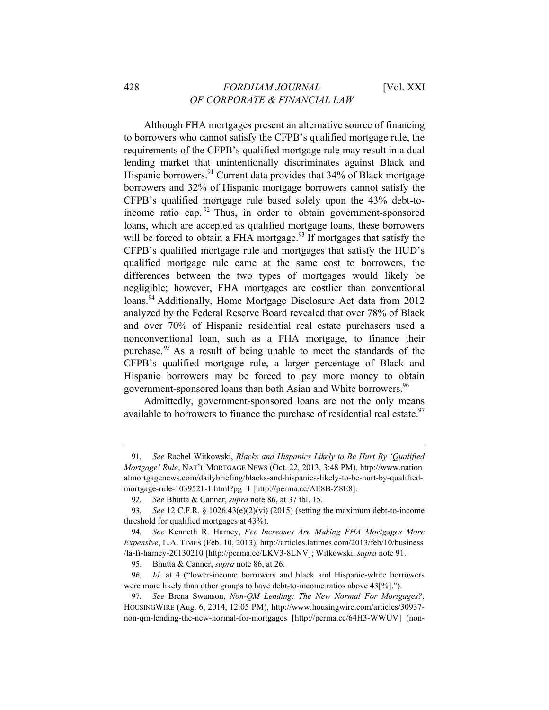Although FHA mortgages present an alternative source of financing to borrowers who cannot satisfy the CFPB's qualified mortgage rule, the requirements of the CFPB's qualified mortgage rule may result in a dual lending market that unintentionally discriminates against Black and Hispanic borrowers.<sup>91</sup> Current data provides that 34% of Black mortgage borrowers and 32% of Hispanic mortgage borrowers cannot satisfy the CFPB's qualified mortgage rule based solely upon the 43% debt-toincome ratio cap.  $92$  Thus, in order to obtain government-sponsored loans, which are accepted as qualified mortgage loans, these borrowers will be forced to obtain a FHA mortgage.<sup>93</sup> If mortgages that satisfy the CFPB's qualified mortgage rule and mortgages that satisfy the HUD's qualified mortgage rule came at the same cost to borrowers, the differences between the two types of mortgages would likely be negligible; however, FHA mortgages are costlier than conventional loans.<sup>94</sup> Additionally, Home Mortgage Disclosure Act data from 2012 analyzed by the Federal Reserve Board revealed that over 78% of Black and over 70% of Hispanic residential real estate purchasers used a nonconventional loan, such as a FHA mortgage, to finance their purchase.<sup>95</sup> As a result of being unable to meet the standards of the CFPB's qualified mortgage rule, a larger percentage of Black and Hispanic borrowers may be forced to pay more money to obtain government-sponsored loans than both Asian and White borrowers.<sup>96</sup>

Admittedly, government-sponsored loans are not the only means available to borrowers to finance the purchase of residential real estate.<sup>97</sup>

<sup>91</sup>*. See* Rachel Witkowski, *Blacks and Hispanics Likely to Be Hurt By 'Qualified Mortgage' Rule*, NAT'L MORTGAGE NEWS (Oct. 22, 2013, 3:48 PM), http://www.nation almortgagenews.com/dailybriefing/blacks-and-hispanics-likely-to-be-hurt-by-qualifiedmortgage-rule-1039521-1.html?pg=1 [http://perma.cc/AE8B-Z8E8].

<sup>92</sup>*. See* Bhutta & Canner, *supra* note 86, at 37 tbl. 15.

<sup>93</sup>*. See* 12 C.F.R. § 1026.43(e)(2)(vi) (2015) (setting the maximum debt-to-income threshold for qualified mortgages at 43%).

<sup>94</sup>*. See* Kenneth R. Harney, *Fee Increases Are Making FHA Mortgages More Expensive*, L.A. TIMES (Feb. 10, 2013), http://articles.latimes.com/2013/feb/10/business /la-fi-harney-20130210 [http://perma.cc/LKV3-8LNV]; Witkowski, *supra* note 91.

<sup>95.</sup> Bhutta & Canner, *supra* note 86, at 26.

<sup>96</sup>*. Id.* at 4 ("lower-income borrowers and black and Hispanic-white borrowers were more likely than other groups to have debt-to-income ratios above 43[%].").

<sup>97</sup>*. See* Brena Swanson, *Non-QM Lending: The New Normal For Mortgages?*, HOUSINGWIRE (Aug. 6, 2014, 12:05 PM), http://www.housingwire.com/articles/30937 non-qm-lending-the-new-normal-for-mortgages [http://perma.cc/64H3-WWUV] (non-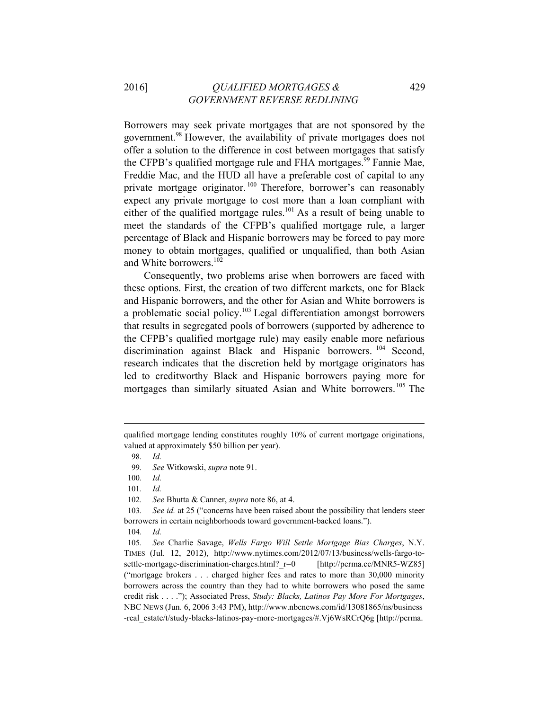# 2016] *QUALIFIED MORTGAGES &* 429  *GOVERNMENT REVERSE REDLINING*

Borrowers may seek private mortgages that are not sponsored by the government.<sup>98</sup> However, the availability of private mortgages does not offer a solution to the difference in cost between mortgages that satisfy the CFPB's qualified mortgage rule and FHA mortgages.<sup>99</sup> Fannie Mae, Freddie Mac, and the HUD all have a preferable cost of capital to any private mortgage originator.<sup>100</sup> Therefore, borrower's can reasonably expect any private mortgage to cost more than a loan compliant with either of the qualified mortgage rules.<sup>101</sup> As a result of being unable to meet the standards of the CFPB's qualified mortgage rule, a larger percentage of Black and Hispanic borrowers may be forced to pay more money to obtain mortgages, qualified or unqualified, than both Asian and White borrowers.<sup>102</sup>

Consequently, two problems arise when borrowers are faced with these options. First, the creation of two different markets, one for Black and Hispanic borrowers, and the other for Asian and White borrowers is a problematic social policy.103 Legal differentiation amongst borrowers that results in segregated pools of borrowers (supported by adherence to the CFPB's qualified mortgage rule) may easily enable more nefarious discrimination against Black and Hispanic borrowers.<sup>104</sup> Second, research indicates that the discretion held by mortgage originators has led to creditworthy Black and Hispanic borrowers paying more for mortgages than similarly situated Asian and White borrowers.<sup>105</sup> The

 

102*. See* Bhutta & Canner, *supra* note 86, at 4.

qualified mortgage lending constitutes roughly 10% of current mortgage originations, valued at approximately \$50 billion per year).

<sup>98</sup>*. Id.*

<sup>99</sup>*. See* Witkowski, *supra* note 91.

<sup>100</sup>*. Id.*

<sup>101</sup>*. Id.*

<sup>103</sup>*. See id.* at 25 ("concerns have been raised about the possibility that lenders steer borrowers in certain neighborhoods toward government-backed loans.").

<sup>104</sup>*. Id.*

<sup>105</sup>*. See* Charlie Savage, *Wells Fargo Will Settle Mortgage Bias Charges*, N.Y. TIMES (Jul. 12, 2012), http://www.nytimes.com/2012/07/13/business/wells-fargo-tosettle-mortgage-discrimination-charges.html? r=0 [http://perma.cc/MNR5-WZ85] ("mortgage brokers . . . charged higher fees and rates to more than 30,000 minority borrowers across the country than they had to white borrowers who posed the same credit risk . . . ."); Associated Press, *Study: Blacks, Latinos Pay More For Mortgages*, NBC NEWS (Jun. 6, 2006 3:43 PM), http://www.nbcnews.com/id/13081865/ns/business -real\_estate/t/study-blacks-latinos-pay-more-mortgages/#.Vj6WsRCrQ6g [http://perma.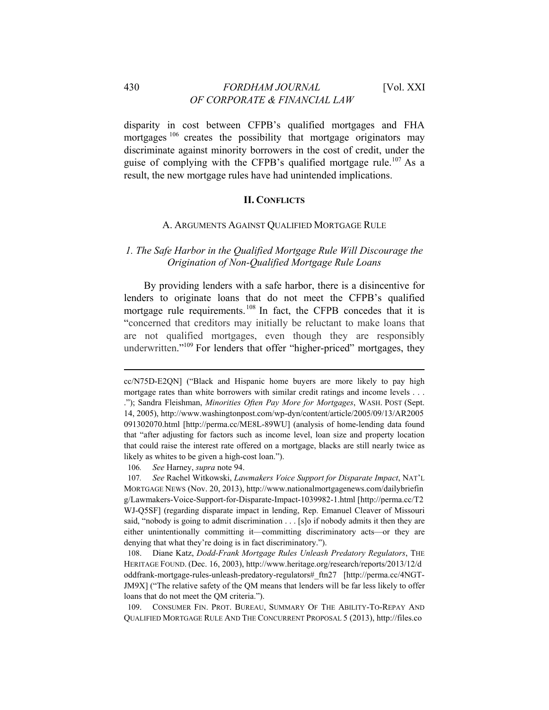# 430 *FORDHAM JOURNAL* [Vol. XXI *OF CORPORATE & FINANCIAL LAW*

disparity in cost between CFPB's qualified mortgages and FHA mortgages<sup>106</sup> creates the possibility that mortgage originators may discriminate against minority borrowers in the cost of credit, under the guise of complying with the CFPB's qualified mortgage rule.<sup>107</sup> As a result, the new mortgage rules have had unintended implications.

#### **II. CONFLICTS**

#### A. ARGUMENTS AGAINST QUALIFIED MORTGAGE RULE

# *1. The Safe Harbor in the Qualified Mortgage Rule Will Discourage the Origination of Non-Qualified Mortgage Rule Loans*

By providing lenders with a safe harbor, there is a disincentive for lenders to originate loans that do not meet the CFPB's qualified mortgage rule requirements.<sup>108</sup> In fact, the CFPB concedes that it is "concerned that creditors may initially be reluctant to make loans that are not qualified mortgages, even though they are responsibly underwritten."<sup>109</sup> For lenders that offer "higher-priced" mortgages, they

cc/N75D-E2QN] ("Black and Hispanic home buyers are more likely to pay high mortgage rates than white borrowers with similar credit ratings and income levels . . . ."); Sandra Fleishman, *Minorities Often Pay More for Mortgages*, WASH. POST (Sept. 14, 2005), http://www.washingtonpost.com/wp-dyn/content/article/2005/09/13/AR2005 091302070.html [http://perma.cc/ME8L-89WU] (analysis of home-lending data found that "after adjusting for factors such as income level, loan size and property location that could raise the interest rate offered on a mortgage, blacks are still nearly twice as likely as whites to be given a high-cost loan.").

<sup>106</sup>*. See* Harney, *supra* note 94.

<sup>107</sup>*. See* Rachel Witkowski, *Lawmakers Voice Support for Disparate Impact*, NAT'L MORTGAGE NEWS (Nov. 20, 2013), http://www.nationalmortgagenews.com/dailybriefin g/Lawmakers-Voice-Support-for-Disparate-Impact-1039982-1.html [http://perma.cc/T2 WJ-Q5SF] (regarding disparate impact in lending, Rep. Emanuel Cleaver of Missouri said, "nobody is going to admit discrimination . . . [s]o if nobody admits it then they are either unintentionally committing it—committing discriminatory acts—or they are denying that what they're doing is in fact discriminatory.").

<sup>108.</sup> Diane Katz, *Dodd-Frank Mortgage Rules Unleash Predatory Regulators*, THE HERITAGE FOUND. (Dec. 16, 2003), http://www.heritage.org/research/reports/2013/12/d oddfrank-mortgage-rules-unleash-predatory-regulators#\_ftn27 [http://perma.cc/4NGT-JM9X] ("The relative safety of the QM means that lenders will be far less likely to offer loans that do not meet the QM criteria.").

<sup>109.</sup> CONSUMER FIN. PROT. BUREAU, SUMMARY OF THE ABILITY-TO-REPAY AND QUALIFIED MORTGAGE RULE AND THE CONCURRENT PROPOSAL 5 (2013), http://files.co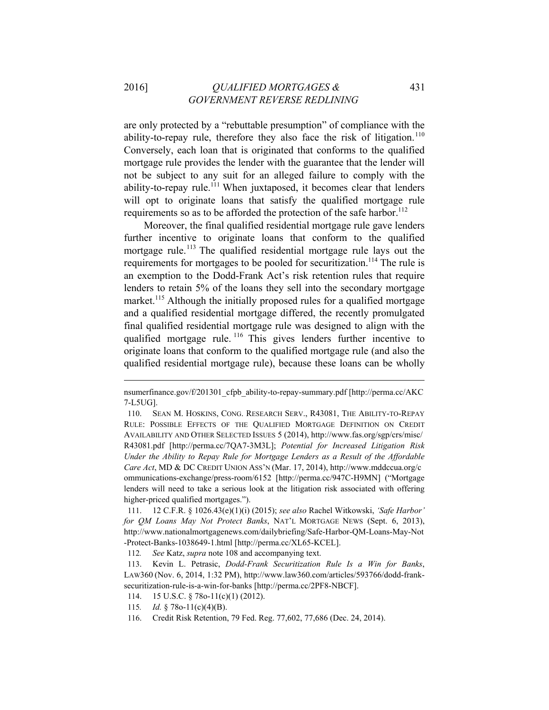are only protected by a "rebuttable presumption" of compliance with the ability-to-repay rule, therefore they also face the risk of litigation.<sup>110</sup> Conversely, each loan that is originated that conforms to the qualified mortgage rule provides the lender with the guarantee that the lender will not be subject to any suit for an alleged failure to comply with the ability-to-repay rule.<sup>111</sup> When juxtaposed, it becomes clear that lenders will opt to originate loans that satisfy the qualified mortgage rule requirements so as to be afforded the protection of the safe harbor.<sup>112</sup>

Moreover, the final qualified residential mortgage rule gave lenders further incentive to originate loans that conform to the qualified mortgage rule.<sup>113</sup> The qualified residential mortgage rule lays out the requirements for mortgages to be pooled for securitization.<sup>114</sup> The rule is an exemption to the Dodd-Frank Act's risk retention rules that require lenders to retain 5% of the loans they sell into the secondary mortgage market.<sup>115</sup> Although the initially proposed rules for a qualified mortgage and a qualified residential mortgage differed, the recently promulgated final qualified residential mortgage rule was designed to align with the qualified mortgage rule.<sup>116</sup> This gives lenders further incentive to originate loans that conform to the qualified mortgage rule (and also the qualified residential mortgage rule), because these loans can be wholly

nsumerfinance.gov/f/201301\_cfpb\_ability-to-repay-summary.pdf [http://perma.cc/AKC 7-L5UG].

<sup>110.</sup> SEAN M. HOSKINS, CONG. RESEARCH SERV., R43081, THE ABILITY-TO-REPAY RULE: POSSIBLE EFFECTS OF THE QUALIFIED MORTGAGE DEFINITION ON CREDIT AVAILABILITY AND OTHER SELECTED ISSUES 5 (2014), http://www.fas.org/sgp/crs/misc/ R43081.pdf [http://perma.cc/7QA7-3M3L]; *Potential for Increased Litigation Risk Under the Ability to Repay Rule for Mortgage Lenders as a Result of the Affordable Care Act*, MD & DC CREDIT UNION ASS'N (Mar. 17, 2014), http://www.mddccua.org/c ommunications-exchange/press-room/6152 [http://perma.cc/947C-H9MN] ("Mortgage lenders will need to take a serious look at the litigation risk associated with offering higher-priced qualified mortgages.").

<sup>111. 12</sup> C.F.R. § 1026.43(e)(1)(i) (2015); *see also* Rachel Witkowski, *'Safe Harbor' for QM Loans May Not Protect Banks*, NAT'L MORTGAGE NEWS (Sept. 6, 2013), http://www.nationalmortgagenews.com/dailybriefing/Safe-Harbor-QM-Loans-May-Not -Protect-Banks-1038649-1.html [http://perma.cc/XL65-KCEL].

<sup>112</sup>*. See* Katz, *supra* note 108 and accompanying text.

<sup>113.</sup> Kevin L. Petrasic, *Dodd-Frank Securitization Rule Is a Win for Banks*, LAW360 (Nov. 6, 2014, 1:32 PM), http://www.law360.com/articles/593766/dodd-franksecuritization-rule-is-a-win-for-banks [http://perma.cc/2PF8-NBCF].

<sup>114. 15</sup> U.S.C. § 78o-11(c)(1) (2012).

<sup>115</sup>*. Id.* § 78o-11(c)(4)(B).

<sup>116.</sup> Credit Risk Retention, 79 Fed. Reg. 77,602, 77,686 (Dec. 24, 2014).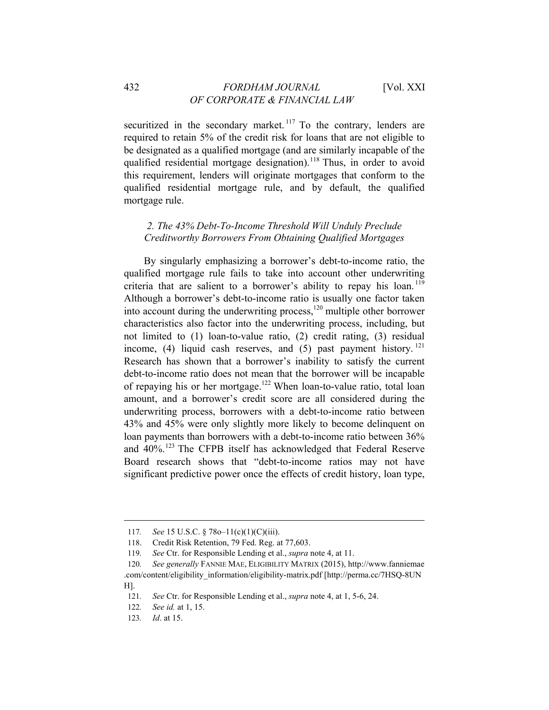securitized in the secondary market.<sup>117</sup> To the contrary, lenders are required to retain 5% of the credit risk for loans that are not eligible to be designated as a qualified mortgage (and are similarly incapable of the qualified residential mortgage designation).<sup>118</sup> Thus, in order to avoid this requirement, lenders will originate mortgages that conform to the qualified residential mortgage rule, and by default, the qualified mortgage rule.

# *2. The 43% Debt-To-Income Threshold Will Unduly Preclude Creditworthy Borrowers From Obtaining Qualified Mortgages*

By singularly emphasizing a borrower's debt-to-income ratio, the qualified mortgage rule fails to take into account other underwriting criteria that are salient to a borrower's ability to repay his loan.<sup>119</sup> Although a borrower's debt-to-income ratio is usually one factor taken into account during the underwriting process,<sup>120</sup> multiple other borrower characteristics also factor into the underwriting process, including, but not limited to (1) loan-to-value ratio, (2) credit rating, (3) residual income, (4) liquid cash reserves, and (5) past payment history.  $^{121}$ Research has shown that a borrower's inability to satisfy the current debt-to-income ratio does not mean that the borrower will be incapable of repaying his or her mortgage.122 When loan-to-value ratio, total loan amount, and a borrower's credit score are all considered during the underwriting process, borrowers with a debt-to-income ratio between 43% and 45% were only slightly more likely to become delinquent on loan payments than borrowers with a debt-to-income ratio between 36% and 40%<sup>123</sup> The CFPB itself has acknowledged that Federal Reserve Board research shows that "debt-to-income ratios may not have significant predictive power once the effects of credit history, loan type,

<sup>117</sup>*. See* 15 U.S.C. § 78o–11(c)(1)(C)(iii).

<sup>118.</sup> Credit Risk Retention, 79 Fed. Reg. at 77,603.

<sup>119</sup>*. See* Ctr. for Responsible Lending et al., *supra* note 4, at 11.

<sup>120</sup>*. See generally* FANNIE MAE, ELIGIBILITY MATRIX (2015), http://www.fanniemae .com/content/eligibility\_information/eligibility-matrix.pdf [http://perma.cc/7HSQ-8UN H].

<sup>121</sup>*. See* Ctr. for Responsible Lending et al., *supra* note 4, at 1, 5-6, 24.

<sup>122</sup>*. See id.* at 1, 15.

<sup>123</sup>*. Id*. at 15.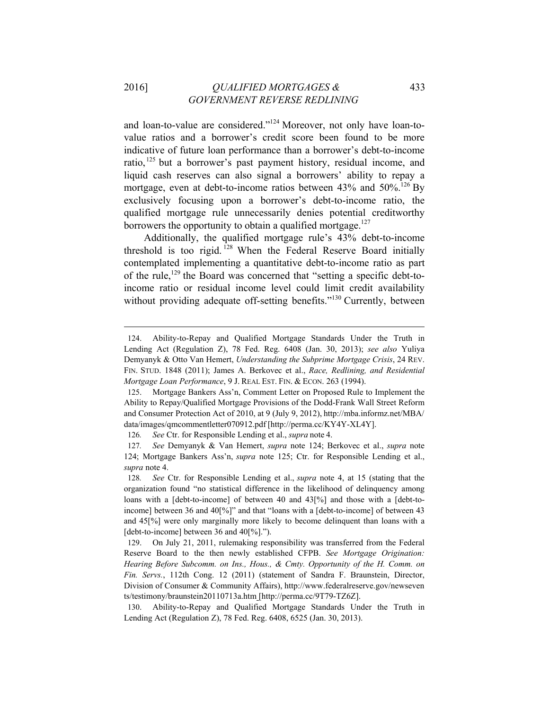# 2016] *QUALIFIED MORTGAGES &* 433  *GOVERNMENT REVERSE REDLINING*

and loan-to-value are considered."124 Moreover, not only have loan-tovalue ratios and a borrower's credit score been found to be more indicative of future loan performance than a borrower's debt-to-income ratio,<sup>125</sup> but a borrower's past payment history, residual income, and liquid cash reserves can also signal a borrowers' ability to repay a mortgage, even at debt-to-income ratios between  $43\%$  and  $50\%$ .<sup>126</sup> By exclusively focusing upon a borrower's debt-to-income ratio, the qualified mortgage rule unnecessarily denies potential creditworthy borrowers the opportunity to obtain a qualified mortgage.<sup>127</sup>

Additionally, the qualified mortgage rule's 43% debt-to-income threshold is too rigid. 128 When the Federal Reserve Board initially contemplated implementing a quantitative debt-to-income ratio as part of the rule,129 the Board was concerned that "setting a specific debt-toincome ratio or residual income level could limit credit availability without providing adequate off-setting benefits.<sup>"130</sup> Currently, between

<sup>124.</sup> Ability-to-Repay and Qualified Mortgage Standards Under the Truth in Lending Act (Regulation Z), 78 Fed. Reg. 6408 (Jan. 30, 2013); *see also* Yuliya Demyanyk & Otto Van Hemert, *Understanding the Subprime Mortgage Crisis*, 24 REV. FIN. STUD. 1848 (2011); James A. Berkovec et al., *Race, Redlining, and Residential Mortgage Loan Performance*, 9 J. REAL EST. FIN. & ECON. 263 (1994).

<sup>125.</sup> Mortgage Bankers Ass'n, Comment Letter on Proposed Rule to Implement the Ability to Repay/Qualified Mortgage Provisions of the Dodd-Frank Wall Street Reform and Consumer Protection Act of 2010, at 9 (July 9, 2012), http://mba.informz.net/MBA/ data/images/qmcommentletter070912.pdf [http://perma.cc/KY4Y-XL4Y].

<sup>126</sup>*. See* Ctr. for Responsible Lending et al., *supra* note 4.

<sup>127</sup>*. See* Demyanyk & Van Hemert, *supra* note 124; Berkovec et al., *supra* note 124; Mortgage Bankers Ass'n, *supra* note 125; Ctr. for Responsible Lending et al., *supra* note 4.

<sup>128</sup>*. See* Ctr. for Responsible Lending et al., *supra* note 4, at 15 (stating that the organization found "no statistical difference in the likelihood of delinquency among loans with a [debt-to-income] of between 40 and 43[%] and those with a [debt-toincome] between 36 and 40[%]" and that "loans with a [debt-to-income] of between 43 and 45[%] were only marginally more likely to become delinquent than loans with a [debt-to-income] between 36 and 40[%].").

<sup>129.</sup> On July 21, 2011, rulemaking responsibility was transferred from the Federal Reserve Board to the then newly established CFPB. *See Mortgage Origination: Hearing Before Subcomm. on Ins., Hous., & Cmty. Opportunity of the H. Comm. on Fin. Servs.*, 112th Cong. 12 (2011) (statement of Sandra F. Braunstein, Director, Division of Consumer & Community Affairs), http://www.federalreserve.gov/newseven ts/testimony/braunstein20110713a.htm [http://perma.cc/9T79-TZ6Z].

<sup>130.</sup> Ability-to-Repay and Qualified Mortgage Standards Under the Truth in Lending Act (Regulation Z), 78 Fed. Reg. 6408, 6525 (Jan. 30, 2013).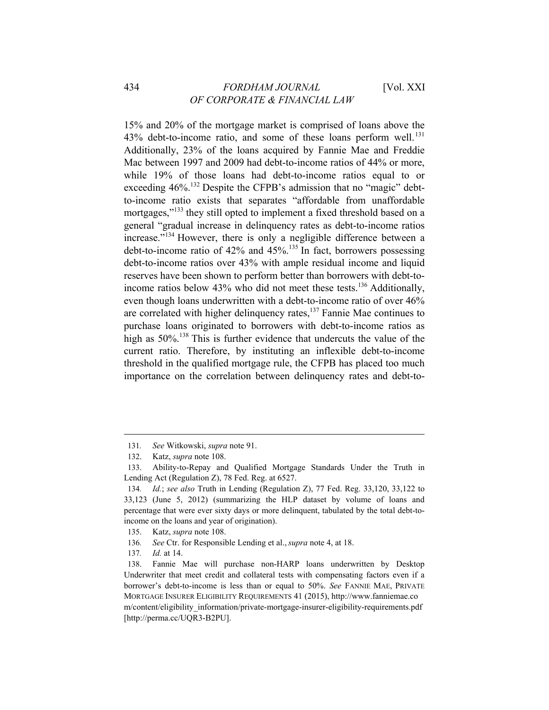15% and 20% of the mortgage market is comprised of loans above the 43% debt-to-income ratio, and some of these loans perform well.<sup>131</sup> Additionally, 23% of the loans acquired by Fannie Mae and Freddie Mac between 1997 and 2009 had debt-to-income ratios of 44% or more, while 19% of those loans had debt-to-income ratios equal to or exceeding 46%.<sup>132</sup> Despite the CFPB's admission that no "magic" debtto-income ratio exists that separates "affordable from unaffordable mortgages,<sup>"133</sup> they still opted to implement a fixed threshold based on a general "gradual increase in delinquency rates as debt-to-income ratios increase."134 However, there is only a negligible difference between a debt-to-income ratio of  $42\%$  and  $45\%$ .<sup>135</sup> In fact, borrowers possessing debt-to-income ratios over 43% with ample residual income and liquid reserves have been shown to perform better than borrowers with debt-toincome ratios below 43% who did not meet these tests.<sup>136</sup> Additionally, even though loans underwritten with a debt-to-income ratio of over 46% are correlated with higher delinquency rates,137 Fannie Mae continues to purchase loans originated to borrowers with debt-to-income ratios as high as  $50\%$ <sup>138</sup> This is further evidence that undercuts the value of the current ratio. Therefore, by instituting an inflexible debt-to-income threshold in the qualified mortgage rule, the CFPB has placed too much importance on the correlation between delinquency rates and debt-to-

<sup>131</sup>*. See* Witkowski, *supra* note 91.

<sup>132.</sup> Katz, *supra* note 108.

<sup>133.</sup> Ability-to-Repay and Qualified Mortgage Standards Under the Truth in Lending Act (Regulation Z), 78 Fed. Reg. at 6527.

<sup>134</sup>*. Id.*; *see also* Truth in Lending (Regulation Z), 77 Fed. Reg. 33,120, 33,122 to 33,123 (June 5, 2012) (summarizing the HLP dataset by volume of loans and percentage that were ever sixty days or more delinquent, tabulated by the total debt-toincome on the loans and year of origination).

<sup>135.</sup> Katz, *supra* note 108.

<sup>136</sup>*. See* Ctr. for Responsible Lending et al.,*supra* note 4, at 18.

<sup>137</sup>*. Id.* at 14.

<sup>138.</sup> Fannie Mae will purchase non-HARP loans underwritten by Desktop Underwriter that meet credit and collateral tests with compensating factors even if a borrower's debt-to-income is less than or equal to 50%. *See* FANNIE MAE, PRIVATE MORTGAGE INSURER ELIGIBILITY REQUIREMENTS 41 (2015), http://www.fanniemae.co m/content/eligibility\_information/private-mortgage-insurer-eligibility-requirements.pdf [http://perma.cc/UQR3-B2PU].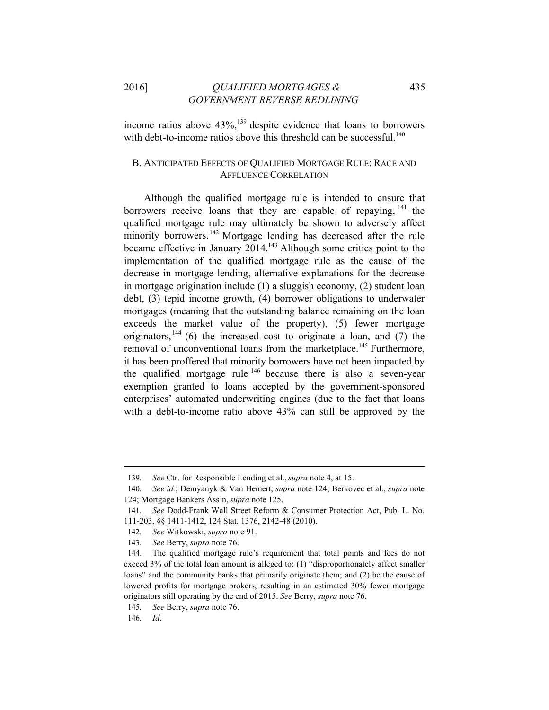2016] *QUALIFIED MORTGAGES &* 435  *GOVERNMENT REVERSE REDLINING*

income ratios above  $43\%$ ,<sup>139</sup> despite evidence that loans to borrowers with debt-to-income ratios above this threshold can be successful.<sup>140</sup>

# B. ANTICIPATED EFFECTS OF QUALIFIED MORTGAGE RULE: RACE AND AFFLUENCE CORRELATION

Although the qualified mortgage rule is intended to ensure that borrowers receive loans that they are capable of repaying,  $141$  the qualified mortgage rule may ultimately be shown to adversely affect minority borrowers.<sup>142</sup> Mortgage lending has decreased after the rule became effective in January 2014.<sup>143</sup> Although some critics point to the implementation of the qualified mortgage rule as the cause of the decrease in mortgage lending, alternative explanations for the decrease in mortgage origination include (1) a sluggish economy, (2) student loan debt, (3) tepid income growth, (4) borrower obligations to underwater mortgages (meaning that the outstanding balance remaining on the loan exceeds the market value of the property), (5) fewer mortgage originators,  $144$  (6) the increased cost to originate a loan, and (7) the removal of unconventional loans from the marketplace.<sup>145</sup> Furthermore, it has been proffered that minority borrowers have not been impacted by the qualified mortgage rule  $146$  because there is also a seven-year exemption granted to loans accepted by the government-sponsored enterprises' automated underwriting engines (due to the fact that loans with a debt-to-income ratio above 43% can still be approved by the

<sup>139</sup>*. See* Ctr. for Responsible Lending et al.,*supra* note 4, at 15.

<sup>140</sup>*. See id.*; Demyanyk & Van Hemert, *supra* note 124; Berkovec et al., *supra* note 124; Mortgage Bankers Ass'n, *supra* note 125.

<sup>141</sup>*. See* Dodd-Frank Wall Street Reform & Consumer Protection Act, Pub. L. No. 111-203, §§ 1411-1412, 124 Stat. 1376, 2142-48 (2010).

<sup>142</sup>*. See* Witkowski, *supra* note 91.

<sup>143</sup>*. See* Berry, *supra* note 76.

<sup>144.</sup> The qualified mortgage rule's requirement that total points and fees do not exceed 3% of the total loan amount is alleged to: (1) "disproportionately affect smaller loans" and the community banks that primarily originate them; and (2) be the cause of lowered profits for mortgage brokers, resulting in an estimated 30% fewer mortgage originators still operating by the end of 2015. *See* Berry, *supra* note 76.

<sup>145</sup>*. See* Berry, *supra* note 76.

<sup>146</sup>*. Id*.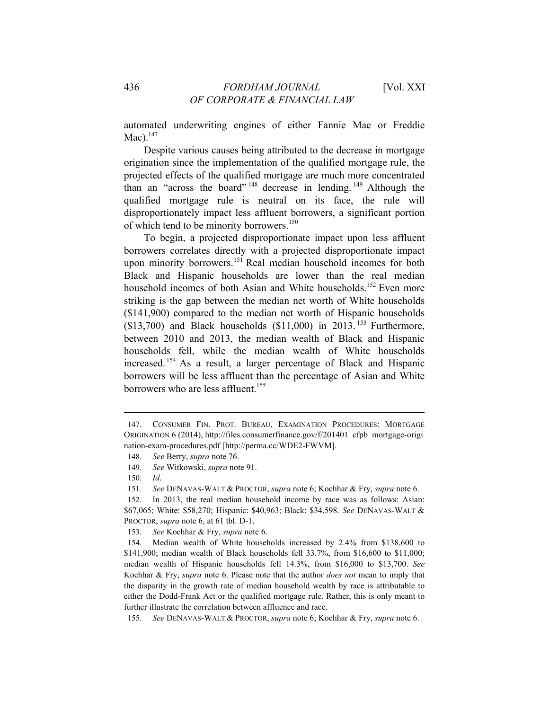automated underwriting engines of either Fannie Mae or Freddie  $Mac).<sup>147</sup>$ 

Despite various causes being attributed to the decrease in mortgage origination since the implementation of the qualified mortgage rule, the projected effects of the qualified mortgage are much more concentrated than an "across the board" 148 decrease in lending. 149 Although the qualified mortgage rule is neutral on its face, the rule will disproportionately impact less affluent borrowers, a significant portion of which tend to be minority borrowers.<sup>150</sup>

To begin, a projected disproportionate impact upon less affluent borrowers correlates directly with a projected disproportionate impact upon minority borrowers.<sup>151</sup> Real median household incomes for both Black and Hispanic households are lower than the real median household incomes of both Asian and White households.<sup>152</sup> Even more striking is the gap between the median net worth of White households (\$141,900) compared to the median net worth of Hispanic households  $(13,700)$  and Black households  $(11,000)$  in 2013.<sup>153</sup> Furthermore, between 2010 and 2013, the median wealth of Black and Hispanic households fell, while the median wealth of White households increased. 154 As a result, a larger percentage of Black and Hispanic borrowers will be less affluent than the percentage of Asian and White borrowers who are less affluent.<sup>155</sup>

<sup>147.</sup> CONSUMER FIN. PROT. BUREAU, EXAMINATION PROCEDURES: MORTGAGE ORIGINATION 6 (2014), http://files.consumerfinance.gov/f/201401\_cfpb\_mortgage-origi nation-exam-procedures.pdf [http://perma.cc/WDE2-FWVM].

<sup>148</sup>*. See* Berry, *supra* note 76.

<sup>149</sup>*. See* Witkowski, *supra* note 91.

<sup>150</sup>*. Id*.

<sup>151</sup>*. See* DENAVAS-WALT & PROCTOR, *supra* note 6; Kochhar & Fry, *supra* note 6.

<sup>152.</sup> In 2013, the real median household income by race was as follows: Asian: \$67,065; White: \$58,270; Hispanic: \$40,963; Black: \$34,598. *See* DENAVAS-WALT & PROCTOR, *supra* note 6, at 61 tbl. D-1.

<sup>153</sup>*. See* Kochhar & Fry, *supra* note 6.

<sup>154.</sup> Median wealth of White households increased by 2.4% from \$138,600 to \$141,900; median wealth of Black households fell 33.7%, from \$16,600 to \$11,000; median wealth of Hispanic households fell 14.3%, from \$16,000 to \$13,700. *See* Kochhar & Fry, *supra* note 6. Please note that the author *does not* mean to imply that the disparity in the growth rate of median household wealth by race is attributable to either the Dodd-Frank Act or the qualified mortgage rule. Rather, this is only meant to further illustrate the correlation between affluence and race.

<sup>155</sup>*. See* DENAVAS-WALT & PROCTOR, *supra* note 6; Kochhar & Fry, *supra* note 6.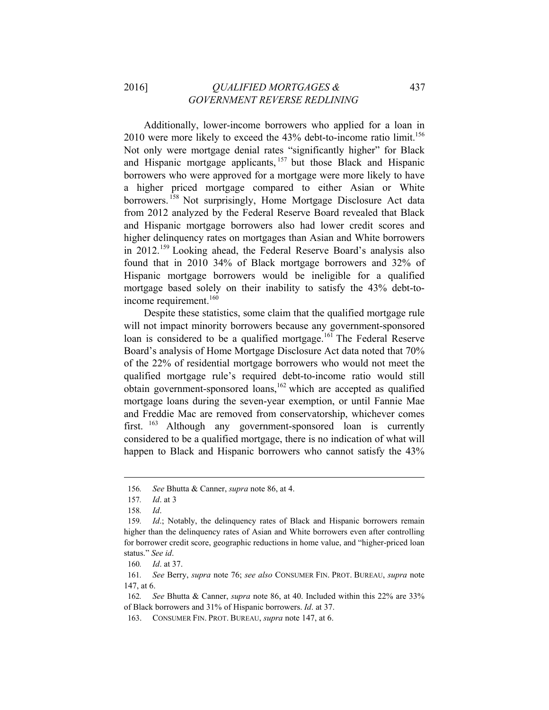Additionally, lower-income borrowers who applied for a loan in  $2010$  were more likely to exceed the 43% debt-to-income ratio limit.<sup>156</sup> Not only were mortgage denial rates "significantly higher" for Black and Hispanic mortgage applicants, 157 but those Black and Hispanic borrowers who were approved for a mortgage were more likely to have a higher priced mortgage compared to either Asian or White borrowers.<sup>158</sup> Not surprisingly, Home Mortgage Disclosure Act data from 2012 analyzed by the Federal Reserve Board revealed that Black and Hispanic mortgage borrowers also had lower credit scores and higher delinquency rates on mortgages than Asian and White borrowers in 2012.159 Looking ahead, the Federal Reserve Board's analysis also found that in 2010 34% of Black mortgage borrowers and 32% of Hispanic mortgage borrowers would be ineligible for a qualified mortgage based solely on their inability to satisfy the 43% debt-toincome requirement.<sup>160</sup>

Despite these statistics, some claim that the qualified mortgage rule will not impact minority borrowers because any government-sponsored loan is considered to be a qualified mortgage.<sup>161</sup> The Federal Reserve Board's analysis of Home Mortgage Disclosure Act data noted that 70% of the 22% of residential mortgage borrowers who would not meet the qualified mortgage rule's required debt-to-income ratio would still obtain government-sponsored loans,<sup>162</sup> which are accepted as qualified mortgage loans during the seven-year exemption, or until Fannie Mae and Freddie Mac are removed from conservatorship, whichever comes first. <sup>163</sup> Although any government-sponsored loan is currently considered to be a qualified mortgage, there is no indication of what will happen to Black and Hispanic borrowers who cannot satisfy the 43%

<sup>156</sup>*. See* Bhutta & Canner, *supra* note 86, at 4.

<sup>157</sup>*. Id*. at 3

<sup>158</sup>*. Id*.

<sup>159</sup>*. Id*.; Notably, the delinquency rates of Black and Hispanic borrowers remain higher than the delinquency rates of Asian and White borrowers even after controlling for borrower credit score, geographic reductions in home value, and "higher-priced loan status." *See id*.

<sup>160</sup>*. Id*. at 37.

<sup>161</sup>*. See* Berry, *supra* note 76; *see also* CONSUMER FIN. PROT. BUREAU, *supra* note 147, at 6.

<sup>162</sup>*. See* Bhutta & Canner, *supra* note 86, at 40. Included within this 22% are 33% of Black borrowers and 31% of Hispanic borrowers. *Id*. at 37.

<sup>163.</sup> CONSUMER FIN. PROT. BUREAU, *supra* note 147, at 6.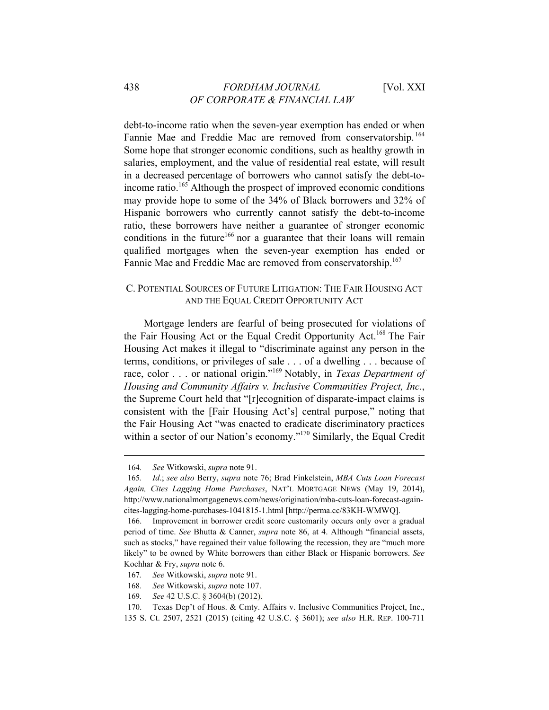debt-to-income ratio when the seven-year exemption has ended or when Fannie Mae and Freddie Mac are removed from conservatorship.<sup>164</sup> Some hope that stronger economic conditions, such as healthy growth in salaries, employment, and the value of residential real estate, will result in a decreased percentage of borrowers who cannot satisfy the debt-toincome ratio.<sup>165</sup> Although the prospect of improved economic conditions may provide hope to some of the 34% of Black borrowers and 32% of Hispanic borrowers who currently cannot satisfy the debt-to-income ratio, these borrowers have neither a guarantee of stronger economic conditions in the future<sup>166</sup> nor a guarantee that their loans will remain qualified mortgages when the seven-year exemption has ended or Fannie Mae and Freddie Mac are removed from conservatorship.<sup>167</sup>

# C. POTENTIAL SOURCES OF FUTURE LITIGATION: THE FAIR HOUSING ACT AND THE EQUAL CREDIT OPPORTUNITY ACT

Mortgage lenders are fearful of being prosecuted for violations of the Fair Housing Act or the Equal Credit Opportunity Act.<sup>168</sup> The Fair Housing Act makes it illegal to "discriminate against any person in the terms, conditions, or privileges of sale . . . of a dwelling . . . because of race, color . . . or national origin."169 Notably, in *Texas Department of Housing and Community Affairs v. Inclusive Communities Project, Inc.*, the Supreme Court held that "[r]ecognition of disparate-impact claims is consistent with the [Fair Housing Act's] central purpose," noting that the Fair Housing Act "was enacted to eradicate discriminatory practices within a sector of our Nation's economy."<sup>170</sup> Similarly, the Equal Credit

<u> 1989 - Johann Stein, mars anders de finlande en de finlande en de finlande en de finlande en de finlande en d</u>

169*. See* 42 U.S.C. § 3604(b) (2012).

<sup>164</sup>*. See* Witkowski, *supra* note 91.

<sup>165</sup>*. Id*.; *see also* Berry, *supra* note 76; Brad Finkelstein, *MBA Cuts Loan Forecast Again, Cites Lagging Home Purchases*, NAT'L MORTGAGE NEWS (May 19, 2014), http://www.nationalmortgagenews.com/news/origination/mba-cuts-loan-forecast-againcites-lagging-home-purchases-1041815-1.html [http://perma.cc/83KH-WMWQ].

<sup>166.</sup> Improvement in borrower credit score customarily occurs only over a gradual period of time. *See* Bhutta & Canner, *supra* note 86, at 4. Although "financial assets, such as stocks," have regained their value following the recession, they are "much more likely" to be owned by White borrowers than either Black or Hispanic borrowers. *See* Kochhar & Fry, *supra* note 6.

<sup>167</sup>*. See* Witkowski, *supra* note 91.

<sup>168</sup>*. See* Witkowski, *supra* note 107.

<sup>170.</sup> Texas Dep't of Hous. & Cmty. Affairs v. Inclusive Communities Project, Inc., 135 S. Ct. 2507, 2521 (2015) (citing 42 U.S.C. § 3601); *see also* H.R. REP. 100-711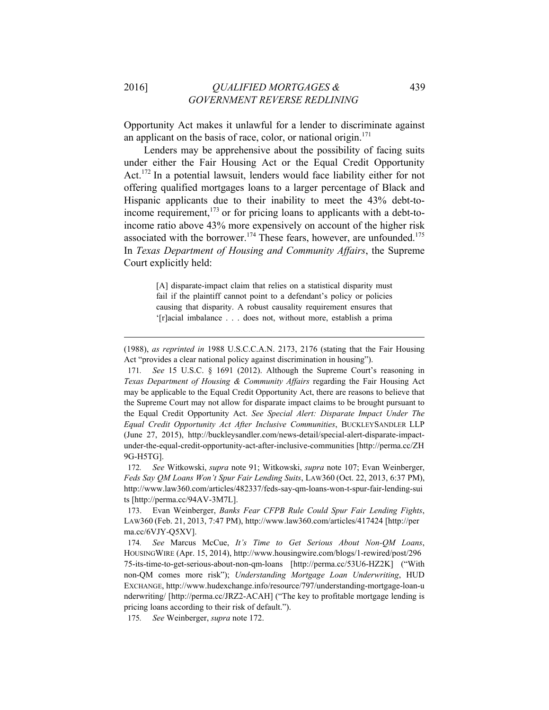Opportunity Act makes it unlawful for a lender to discriminate against an applicant on the basis of race, color, or national origin. $171$ 

Lenders may be apprehensive about the possibility of facing suits under either the Fair Housing Act or the Equal Credit Opportunity Act.172 In a potential lawsuit, lenders would face liability either for not offering qualified mortgages loans to a larger percentage of Black and Hispanic applicants due to their inability to meet the 43% debt-toincome requirement, $173$  or for pricing loans to applicants with a debt-toincome ratio above 43% more expensively on account of the higher risk associated with the borrower.<sup>174</sup> These fears, however, are unfounded.<sup>175</sup> In *Texas Department of Housing and Community Affairs*, the Supreme Court explicitly held:

> [A] disparate-impact claim that relies on a statistical disparity must fail if the plaintiff cannot point to a defendant's policy or policies causing that disparity. A robust causality requirement ensures that '[r]acial imbalance . . . does not, without more, establish a prima

<sup>(1988),</sup> *as reprinted in* 1988 U.S.C.C.A.N. 2173, 2176 (stating that the Fair Housing Act "provides a clear national policy against discrimination in housing").

<sup>171</sup>*. See* 15 U.S.C. § 1691 (2012). Although the Supreme Court's reasoning in *Texas Department of Housing & Community Affairs* regarding the Fair Housing Act may be applicable to the Equal Credit Opportunity Act, there are reasons to believe that the Supreme Court may not allow for disparate impact claims to be brought pursuant to the Equal Credit Opportunity Act. *See Special Alert: Disparate Impact Under The Equal Credit Opportunity Act After Inclusive Communities*, BUCKLEYSANDLER LLP (June 27, 2015), http://buckleysandler.com/news-detail/special-alert-disparate-impactunder-the-equal-credit-opportunity-act-after-inclusive-communities [http://perma.cc/ZH 9G-H5TG].

<sup>172</sup>*. See* Witkowski, *supra* note 91; Witkowski, *supra* note 107; Evan Weinberger, *Feds Say QM Loans Won't Spur Fair Lending Suits*, LAW360 (Oct. 22, 2013, 6:37 PM), http://www.law360.com/articles/482337/feds-say-qm-loans-won-t-spur-fair-lending-sui ts [http://perma.cc/94AV-3M7L].

<sup>173.</sup> Evan Weinberger, *Banks Fear CFPB Rule Could Spur Fair Lending Fights*, LAW360 (Feb. 21, 2013, 7:47 PM), http://www.law360.com/articles/417424 [http://per ma.cc/6VJY-Q5XV].

<sup>174</sup>*. See* Marcus McCue, *It's Time to Get Serious About Non-QM Loans*, HOUSINGWIRE (Apr. 15, 2014), http://www.housingwire.com/blogs/1-rewired/post/296 75-its-time-to-get-serious-about-non-qm-loans [http://perma.cc/53U6-HZ2K] ("With non-QM comes more risk"); *Understanding Mortgage Loan Underwriting*, HUD EXCHANGE, http://www.hudexchange.info/resource/797/understanding-mortgage-loan-u nderwriting/ [http://perma.cc/JRZ2-ACAH] ("The key to profitable mortgage lending is pricing loans according to their risk of default.").

<sup>175</sup>*. See* Weinberger, *supra* note 172.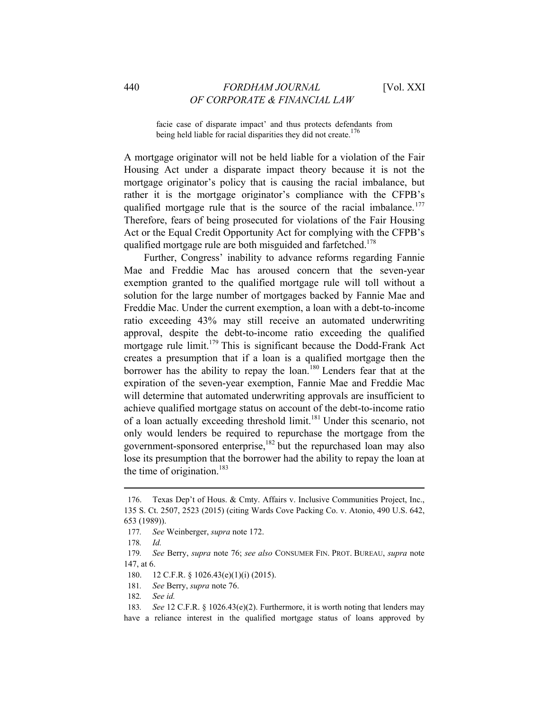facie case of disparate impact' and thus protects defendants from being held liable for racial disparities they did not create.<sup>176</sup>

A mortgage originator will not be held liable for a violation of the Fair Housing Act under a disparate impact theory because it is not the mortgage originator's policy that is causing the racial imbalance, but rather it is the mortgage originator's compliance with the CFPB's qualified mortgage rule that is the source of the racial imbalance.<sup>177</sup> Therefore, fears of being prosecuted for violations of the Fair Housing Act or the Equal Credit Opportunity Act for complying with the CFPB's qualified mortgage rule are both misguided and farfetched.<sup>178</sup>

Further, Congress' inability to advance reforms regarding Fannie Mae and Freddie Mac has aroused concern that the seven-year exemption granted to the qualified mortgage rule will toll without a solution for the large number of mortgages backed by Fannie Mae and Freddie Mac. Under the current exemption, a loan with a debt-to-income ratio exceeding 43% may still receive an automated underwriting approval, despite the debt-to-income ratio exceeding the qualified mortgage rule limit.<sup>179</sup> This is significant because the Dodd-Frank Act creates a presumption that if a loan is a qualified mortgage then the borrower has the ability to repay the loan.<sup>180</sup> Lenders fear that at the expiration of the seven-year exemption, Fannie Mae and Freddie Mac will determine that automated underwriting approvals are insufficient to achieve qualified mortgage status on account of the debt-to-income ratio of a loan actually exceeding threshold limit.181 Under this scenario, not only would lenders be required to repurchase the mortgage from the government-sponsored enterprise, $182$  but the repurchased loan may also lose its presumption that the borrower had the ability to repay the loan at the time of origination.<sup>183</sup>

<sup>176.</sup> Texas Dep't of Hous. & Cmty. Affairs v. Inclusive Communities Project, Inc., 135 S. Ct. 2507, 2523 (2015) (citing Wards Cove Packing Co. v. Atonio, 490 U.S. 642, 653 (1989)).

<sup>177</sup>*. See* Weinberger, *supra* note 172.

<sup>178</sup>*. Id.*

<sup>179</sup>*. See* Berry, *supra* note 76; *see also* CONSUMER FIN. PROT. BUREAU, *supra* note 147, at 6.

<sup>180. 12</sup> C.F.R. § 1026.43(e)(1)(i) (2015).

<sup>181</sup>*. See* Berry, *supra* note 76.

<sup>182</sup>*. See id.*

<sup>183</sup>*. See* 12 C.F.R. § 1026.43(e)(2). Furthermore, it is worth noting that lenders may have a reliance interest in the qualified mortgage status of loans approved by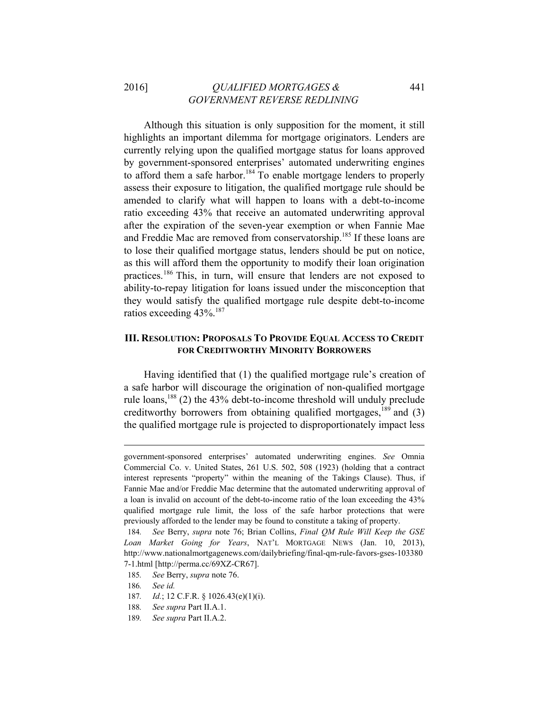# 2016] *QUALIFIED MORTGAGES &* 441  *GOVERNMENT REVERSE REDLINING*

Although this situation is only supposition for the moment, it still highlights an important dilemma for mortgage originators. Lenders are currently relying upon the qualified mortgage status for loans approved by government-sponsored enterprises' automated underwriting engines to afford them a safe harbor.<sup>184</sup> To enable mortgage lenders to properly assess their exposure to litigation, the qualified mortgage rule should be amended to clarify what will happen to loans with a debt-to-income ratio exceeding 43% that receive an automated underwriting approval after the expiration of the seven-year exemption or when Fannie Mae and Freddie Mac are removed from conservatorship.185 If these loans are to lose their qualified mortgage status, lenders should be put on notice, as this will afford them the opportunity to modify their loan origination practices.186 This, in turn, will ensure that lenders are not exposed to ability-to-repay litigation for loans issued under the misconception that they would satisfy the qualified mortgage rule despite debt-to-income ratios exceeding 43%.<sup>187</sup>

## **III. RESOLUTION: PROPOSALS TO PROVIDE EQUAL ACCESS TO CREDIT FOR CREDITWORTHY MINORITY BORROWERS**

Having identified that (1) the qualified mortgage rule's creation of a safe harbor will discourage the origination of non-qualified mortgage rule loans, $^{188}$  (2) the 43% debt-to-income threshold will unduly preclude creditworthy borrowers from obtaining qualified mortgages,  $^{189}$  and (3) the qualified mortgage rule is projected to disproportionately impact less

government-sponsored enterprises' automated underwriting engines. *See* Omnia Commercial Co. v. United States, 261 U.S. 502, 508 (1923) (holding that a contract interest represents "property" within the meaning of the Takings Clause). Thus, if Fannie Mae and/or Freddie Mac determine that the automated underwriting approval of a loan is invalid on account of the debt-to-income ratio of the loan exceeding the 43% qualified mortgage rule limit, the loss of the safe harbor protections that were previously afforded to the lender may be found to constitute a taking of property.

<sup>184</sup>*. See* Berry, *supra* note 76; Brian Collins, *Final QM Rule Will Keep the GSE Loan Market Going for Years*, NAT'L MORTGAGE NEWS (Jan. 10, 2013), http://www.nationalmortgagenews.com/dailybriefing/final-qm-rule-favors-gses-103380 7-1.html [http://perma.cc/69XZ-CR67].

<sup>185</sup>*. See* Berry, *supra* note 76.

<sup>186</sup>*. See id.*

<sup>187</sup>*. Id.*; 12 C.F.R. § 1026.43(e)(1)(i).

<sup>188</sup>*. See supra* Part II.A.1.

<sup>189</sup>*. See supra* Part II.A.2.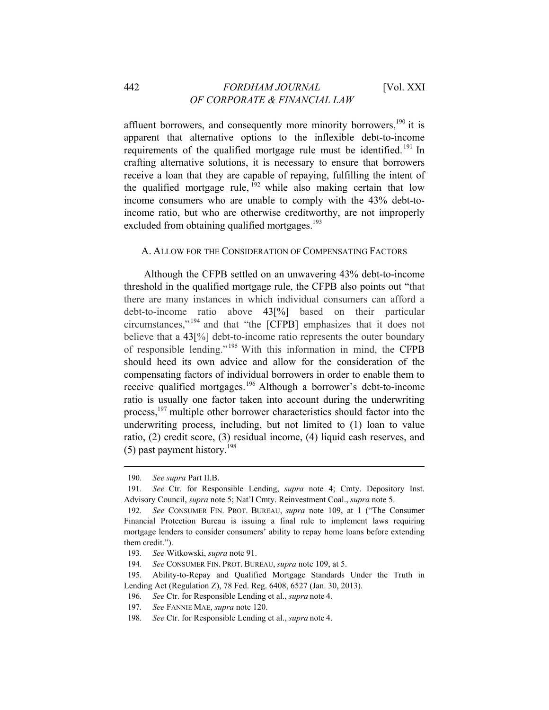affluent borrowers, and consequently more minority borrowers, $190$  it is apparent that alternative options to the inflexible debt-to-income requirements of the qualified mortgage rule must be identified.<sup>191</sup> In crafting alternative solutions, it is necessary to ensure that borrowers receive a loan that they are capable of repaying, fulfilling the intent of the qualified mortgage rule,  $^{192}$  while also making certain that low income consumers who are unable to comply with the 43% debt-toincome ratio, but who are otherwise creditworthy, are not improperly excluded from obtaining qualified mortgages.<sup>193</sup>

#### A. ALLOW FOR THE CONSIDERATION OF COMPENSATING FACTORS

Although the CFPB settled on an unwavering 43% debt-to-income threshold in the qualified mortgage rule, the CFPB also points out "that there are many instances in which individual consumers can afford a debt-to-income ratio above 43[%] based on their particular circumstances," 194 and that "the [CFPB] emphasizes that it does not believe that a 43[%] debt-to-income ratio represents the outer boundary of responsible lending." 195 With this information in mind, the CFPB should heed its own advice and allow for the consideration of the compensating factors of individual borrowers in order to enable them to receive qualified mortgages.196 Although a borrower's debt-to-income ratio is usually one factor taken into account during the underwriting process,197 multiple other borrower characteristics should factor into the underwriting process, including, but not limited to (1) loan to value ratio, (2) credit score, (3) residual income, (4) liquid cash reserves, and  $(5)$  past payment history.<sup>198</sup>

<u> 1989 - Johann Stein, mars anders de finlande en de finlande en de finlande en de finlande en de finlande en d</u>

196*. See* Ctr. for Responsible Lending et al., *supra* note 4.

<sup>190</sup>*. See supra* Part II.B.

<sup>191</sup>*. See* Ctr. for Responsible Lending, *supra* note 4; Cmty. Depository Inst. Advisory Council, *supra* note 5; Nat'l Cmty. Reinvestment Coal., *supra* note 5.

<sup>192</sup>*. See* CONSUMER FIN. PROT. BUREAU, *supra* note 109, at 1 ("The Consumer Financial Protection Bureau is issuing a final rule to implement laws requiring mortgage lenders to consider consumers' ability to repay home loans before extending them credit.").

<sup>193</sup>*. See* Witkowski, *supra* note 91.

<sup>194</sup>*. See* CONSUMER FIN. PROT. BUREAU, *supra* note 109, at 5.

<sup>195.</sup> Ability-to-Repay and Qualified Mortgage Standards Under the Truth in Lending Act (Regulation Z), 78 Fed. Reg. 6408, 6527 (Jan. 30, 2013).

<sup>197</sup>*. See* FANNIE MAE, *supra* note 120.

<sup>198</sup>*. See* Ctr. for Responsible Lending et al., *supra* note 4.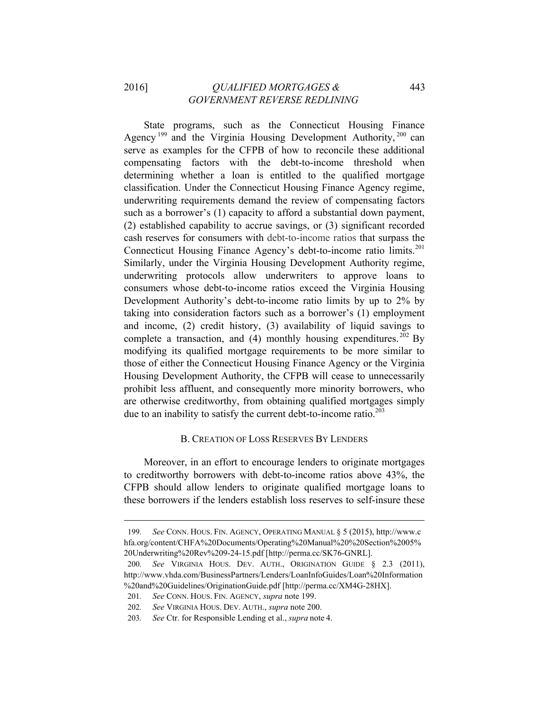State programs, such as the Connecticut Housing Finance Agency<sup>199</sup> and the Virginia Housing Development Authority,<sup>200</sup> can serve as examples for the CFPB of how to reconcile these additional compensating factors with the debt-to-income threshold when determining whether a loan is entitled to the qualified mortgage classification. Under the Connecticut Housing Finance Agency regime, underwriting requirements demand the review of compensating factors such as a borrower's (1) capacity to afford a substantial down payment, (2) established capability to accrue savings, or (3) significant recorded cash reserves for consumers with debt-to-income ratios that surpass the Connecticut Housing Finance Agency's debt-to-income ratio limits.<sup>201</sup> Similarly, under the Virginia Housing Development Authority regime, underwriting protocols allow underwriters to approve loans to consumers whose debt-to-income ratios exceed the Virginia Housing Development Authority's debt-to-income ratio limits by up to 2% by taking into consideration factors such as a borrower's (1) employment and income, (2) credit history, (3) availability of liquid savings to complete a transaction, and (4) monthly housing expenditures. <sup>202</sup> By modifying its qualified mortgage requirements to be more similar to those of either the Connecticut Housing Finance Agency or the Virginia Housing Development Authority, the CFPB will cease to unnecessarily prohibit less affluent, and consequently more minority borrowers, who are otherwise creditworthy, from obtaining qualified mortgages simply due to an inability to satisfy the current debt-to-income ratio. $2^{03}$ 

# B. CREATION OF LOSS RESERVES BY LENDERS

Moreover, in an effort to encourage lenders to originate mortgages to creditworthy borrowers with debt-to-income ratios above 43%, the CFPB should allow lenders to originate qualified mortgage loans to these borrowers if the lenders establish loss reserves to self-insure these

<sup>199</sup>*. See* CONN. HOUS. FIN. AGENCY, OPERATING MANUAL § 5 (2015), http://www.c hfa.org/content/CHFA%20Documents/Operating%20Manual%20%20Section%2005% 20Underwriting%20Rev%209-24-15.pdf [http://perma.cc/SK76-GNRL].

<sup>200</sup>*. See* VIRGINIA HOUS. DEV. AUTH., ORIGINATION GUIDE § 2.3 (2011), http://www.vhda.com/BusinessPartners/Lenders/LoanInfoGuides/Loan%20Information %20and%20Guidelines/OriginationGuide.pdf [http://perma.cc/XM4G-28HX].

<sup>201</sup>*. See* CONN. HOUS. FIN. AGENCY, *supra* note 199.

<sup>202</sup>*. See* VIRGINIA HOUS. DEV. AUTH., *supra* note 200.

<sup>203</sup>*. See* Ctr. for Responsible Lending et al., *supra* note 4.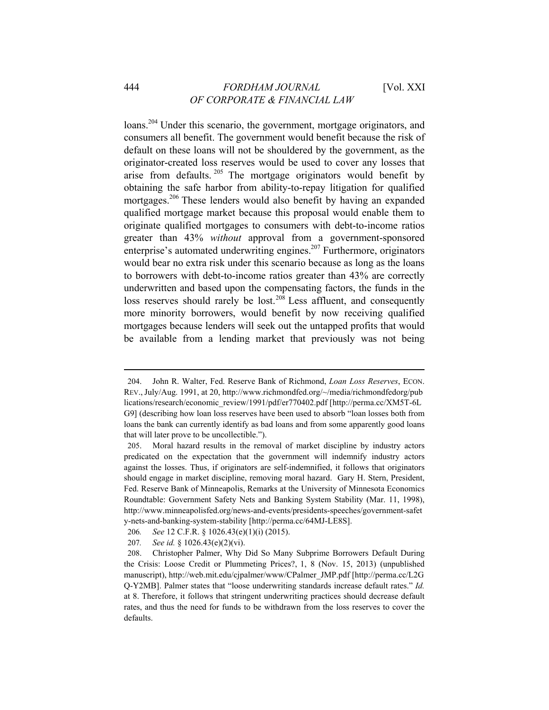loans.<sup>204</sup> Under this scenario, the government, mortgage originators, and consumers all benefit. The government would benefit because the risk of default on these loans will not be shouldered by the government, as the originator-created loss reserves would be used to cover any losses that arise from defaults. 205 The mortgage originators would benefit by obtaining the safe harbor from ability-to-repay litigation for qualified mortgages.<sup>206</sup> These lenders would also benefit by having an expanded qualified mortgage market because this proposal would enable them to originate qualified mortgages to consumers with debt-to-income ratios greater than 43% *without* approval from a government-sponsored enterprise's automated underwriting engines.207 Furthermore, originators would bear no extra risk under this scenario because as long as the loans to borrowers with debt-to-income ratios greater than 43% are correctly underwritten and based upon the compensating factors, the funds in the loss reserves should rarely be lost.<sup>208</sup> Less affluent, and consequently more minority borrowers, would benefit by now receiving qualified mortgages because lenders will seek out the untapped profits that would be available from a lending market that previously was not being

 

207*. See id.* § 1026.43(e)(2)(vi).

<sup>204.</sup> John R. Walter, Fed. Reserve Bank of Richmond, *Loan Loss Reserves*, ECON. REV., July/Aug. 1991, at 20, http://www.richmondfed.org/~/media/richmondfedorg/pub lications/research/economic\_review/1991/pdf/er770402.pdf [http://perma.cc/XM5T-6L G9] (describing how loan loss reserves have been used to absorb "loan losses both from loans the bank can currently identify as bad loans and from some apparently good loans that will later prove to be uncollectible.").

<sup>205.</sup> Moral hazard results in the removal of market discipline by industry actors predicated on the expectation that the government will indemnify industry actors against the losses. Thus, if originators are self-indemnified, it follows that originators should engage in market discipline, removing moral hazard. Gary H. Stern, President, Fed. Reserve Bank of Minneapolis, Remarks at the University of Minnesota Economics Roundtable: Government Safety Nets and Banking System Stability (Mar. 11, 1998), http://www.minneapolisfed.org/news-and-events/presidents-speeches/government-safet y-nets-and-banking-system-stability [http://perma.cc/64MJ-LE8S].

<sup>206</sup>*. See* 12 C.F.R. § 1026.43(e)(1)(i) (2015).

<sup>208.</sup> Christopher Palmer, Why Did So Many Subprime Borrowers Default During the Crisis: Loose Credit or Plummeting Prices?, 1, 8 (Nov. 15, 2013) (unpublished manuscript), http://web.mit.edu/cjpalmer/www/CPalmer\_JMP.pdf [http://perma.cc/L2G Q-Y2MB]. Palmer states that "loose underwriting standards increase default rates." *Id.* at 8. Therefore, it follows that stringent underwriting practices should decrease default rates, and thus the need for funds to be withdrawn from the loss reserves to cover the defaults.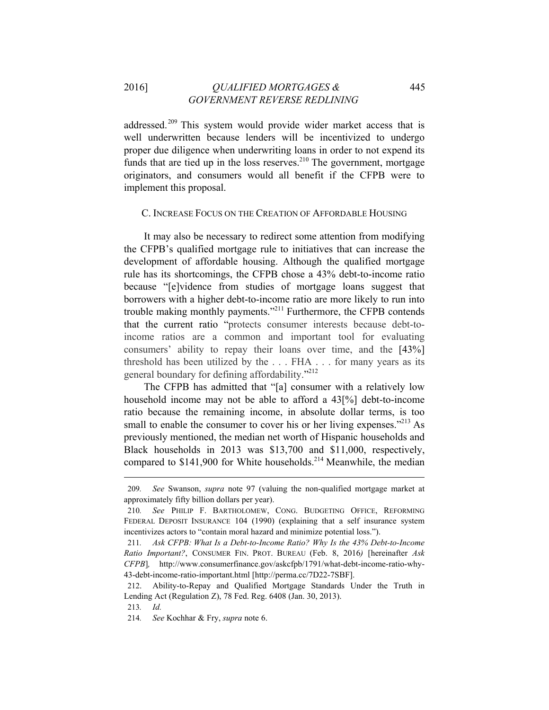addressed.<sup>209</sup> This system would provide wider market access that is well underwritten because lenders will be incentivized to undergo proper due diligence when underwriting loans in order to not expend its funds that are tied up in the loss reserves.<sup>210</sup> The government, mortgage originators, and consumers would all benefit if the CFPB were to implement this proposal.

#### C. INCREASE FOCUS ON THE CREATION OF AFFORDABLE HOUSING

It may also be necessary to redirect some attention from modifying the CFPB's qualified mortgage rule to initiatives that can increase the development of affordable housing. Although the qualified mortgage rule has its shortcomings, the CFPB chose a 43% debt-to-income ratio because "[e]vidence from studies of mortgage loans suggest that borrowers with a higher debt-to-income ratio are more likely to run into trouble making monthly payments."211 Furthermore, the CFPB contends that the current ratio "protects consumer interests because debt-toincome ratios are a common and important tool for evaluating consumers' ability to repay their loans over time, and the [43%] threshold has been utilized by the . . . FHA . . . for many years as its general boundary for defining affordability."<sup>212</sup>

The CFPB has admitted that "[a] consumer with a relatively low household income may not be able to afford a 43[%] debt-to-income ratio because the remaining income, in absolute dollar terms, is too small to enable the consumer to cover his or her living expenses."<sup>213</sup> As previously mentioned, the median net worth of Hispanic households and Black households in 2013 was \$13,700 and \$11,000, respectively, compared to \$141,900 for White households.<sup>214</sup> Meanwhile, the median

<sup>209</sup>*. See* Swanson, *supra* note 97 (valuing the non-qualified mortgage market at approximately fifty billion dollars per year).

<sup>210</sup>*. See* PHILIP F. BARTHOLOMEW, CONG. BUDGETING OFFICE, REFORMING FEDERAL DEPOSIT INSURANCE 104 (1990) (explaining that a self insurance system incentivizes actors to "contain moral hazard and minimize potential loss.").

<sup>211</sup>*. Ask CFPB: What Is a Debt-to-Income Ratio? Why Is the 43% Debt-to-Income Ratio Important?*, CONSUMER FIN. PROT. BUREAU (Feb. 8, 2016*)* [hereinafter *Ask CFPB*]*,* http://www.consumerfinance.gov/askcfpb/1791/what-debt-income-ratio-why-43-debt-income-ratio-important.html [http://perma.cc/7D22-7SBF].

<sup>212.</sup> Ability-to-Repay and Qualified Mortgage Standards Under the Truth in Lending Act (Regulation Z), 78 Fed. Reg. 6408 (Jan. 30, 2013).

<sup>213</sup>*. Id.*

<sup>214</sup>*. See* Kochhar & Fry, *supra* note 6.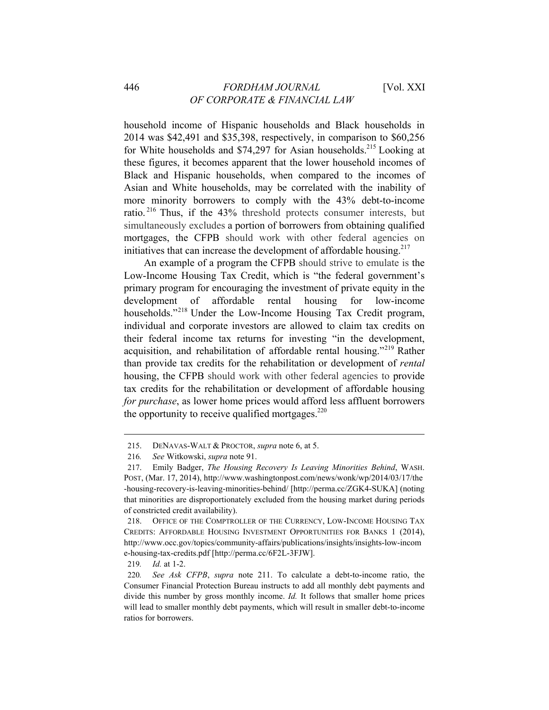# 446 *FORDHAM JOURNAL* [Vol. XXI *OF CORPORATE & FINANCIAL LAW*

household income of Hispanic households and Black households in 2014 was \$42,491 and \$35,398, respectively, in comparison to \$60,256 for White households and \$74,297 for Asian households.<sup>215</sup> Looking at these figures, it becomes apparent that the lower household incomes of Black and Hispanic households, when compared to the incomes of Asian and White households, may be correlated with the inability of more minority borrowers to comply with the 43% debt-to-income ratio. 216 Thus, if the 43% threshold protects consumer interests, but simultaneously excludes a portion of borrowers from obtaining qualified mortgages, the CFPB should work with other federal agencies on initiatives that can increase the development of affordable housing.<sup>217</sup>

An example of a program the CFPB should strive to emulate is the Low-Income Housing Tax Credit, which is "the federal government's primary program for encouraging the investment of private equity in the development of affordable rental housing for low-income households."<sup>218</sup> Under the Low-Income Housing Tax Credit program, individual and corporate investors are allowed to claim tax credits on their federal income tax returns for investing "in the development, acquisition, and rehabilitation of affordable rental housing."219 Rather than provide tax credits for the rehabilitation or development of *rental* housing, the CFPB should work with other federal agencies to provide tax credits for the rehabilitation or development of affordable housing *for purchase*, as lower home prices would afford less affluent borrowers the opportunity to receive qualified mortgages. $220$ 

<sup>215.</sup> DENAVAS-WALT & PROCTOR, *supra* note 6, at 5.

<sup>216</sup>*. See* Witkowski, *supra* note 91.

<sup>217.</sup> Emily Badger, *The Housing Recovery Is Leaving Minorities Behind*, WASH. POST, (Mar. 17, 2014), http://www.washingtonpost.com/news/wonk/wp/2014/03/17/the -housing-recovery-is-leaving-minorities-behind/ [http://perma.cc/ZGK4-SUKA] (noting that minorities are disproportionately excluded from the housing market during periods of constricted credit availability).

<sup>218.</sup> OFFICE OF THE COMPTROLLER OF THE CURRENCY, LOW-INCOME HOUSING TAX CREDITS: AFFORDABLE HOUSING INVESTMENT OPPORTUNITIES FOR BANKS 1 (2014), http://www.occ.gov/topics/community-affairs/publications/insights/insights-low-incom e-housing-tax-credits.pdf [http://perma.cc/6F2L-3FJW].

<sup>219</sup>*. Id.* at 1-2.

<sup>220</sup>*. See Ask CFPB*, *supra* note 211. To calculate a debt-to-income ratio, the Consumer Financial Protection Bureau instructs to add all monthly debt payments and divide this number by gross monthly income. *Id.* It follows that smaller home prices will lead to smaller monthly debt payments, which will result in smaller debt-to-income ratios for borrowers.